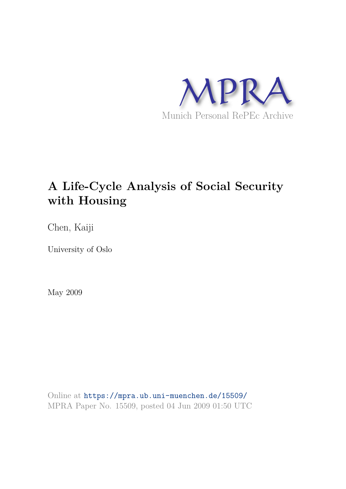

# **A Life-Cycle Analysis of Social Security with Housing**

Chen, Kaiji

University of Oslo

May 2009

Online at https://mpra.ub.uni-muenchen.de/15509/ MPRA Paper No. 15509, posted 04 Jun 2009 01:50 UTC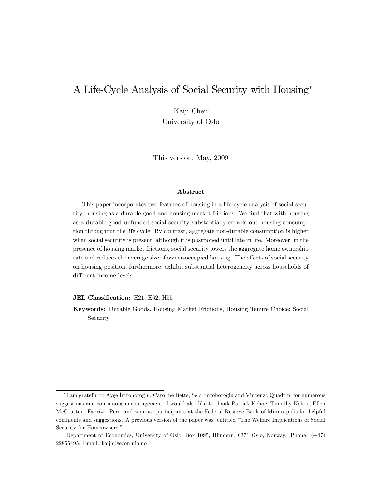# A Life-Cycle Analysis of Social Security with Housing

Kaiji Chen<sup>†</sup> University of Oslo

This version: May, 2009

#### Abstract

This paper incorporates two features of housing in a life-cycle analysis of social security: housing as a durable good and housing market frictions. We find that with housing as a durable good unfunded social security substantially crowds out housing consumption throughout the life cycle. By contrast, aggregate non-durable consumption is higher when social security is present, although it is postponed until late in life. Moreover, in the presence of housing market frictions, social security lowers the aggregate home ownership rate and reduces the average size of owner-occupied housing. The effects of social security on housing position, furthermore, exhibit substantial heterogeneity across households of different income levels.

#### JEL Classification: E21, E62, H55

Keywords: Durable Goods, Housing Market Frictions, Housing Tenure Choice; Social Security

 $^*$ I am grateful to Ayşe İmrohoroğlu, Caroline Betts, Selo İmrohoroğlu and Vincenzo Quadrini for numerous suggestions and continuous encouragement. I would also like to thank Patrick Kehoe, Timothy Kehoe, Ellen McGrattan, Fabrizio Perri and seminar participants at the Federal Reserve Bank of Minneapolis for helpful comments and suggestions. A previous version of the paper was entitled "The Welfare Implications of Social" Security for Homeowners."

<sup>&</sup>lt;sup>†</sup>Department of Economics, University of Oslo, Box 1095, Blindern, 0371 Oslo, Norway. Phone: (+47) 22855495. Email: kaijic@econ.uio.no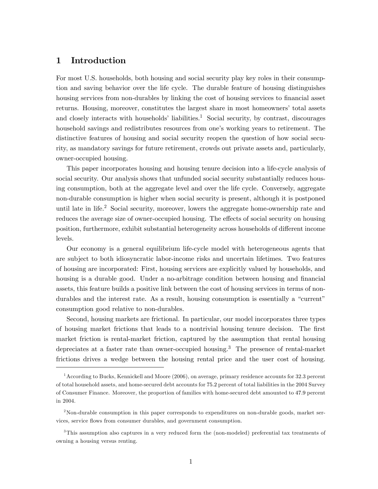# 1 Introduction

For most U.S. households, both housing and social security play key roles in their consumption and saving behavior over the life cycle. The durable feature of housing distinguishes housing services from non-durables by linking the cost of housing services to financial asset returns. Housing, moreover, constitutes the largest share in most homeowners' total assets and closely interacts with households' liabilities.<sup>1</sup> Social security, by contrast, discourages household savings and redistributes resources from one's working years to retirement. The distinctive features of housing and social security reopen the question of how social security, as mandatory savings for future retirement, crowds out private assets and, particularly, owner-occupied housing.

This paper incorporates housing and housing tenure decision into a life-cycle analysis of social security. Our analysis shows that unfunded social security substantially reduces housing consumption, both at the aggregate level and over the life cycle. Conversely, aggregate non-durable consumption is higher when social security is present, although it is postponed until late in life.<sup>2</sup> Social security, moreover, lowers the aggregate home-ownership rate and reduces the average size of owner-occupied housing. The effects of social security on housing position, furthermore, exhibit substantial heterogeneity across households of different income levels.

Our economy is a general equilibrium life-cycle model with heterogeneous agents that are subject to both idiosyncratic labor-income risks and uncertain lifetimes. Two features of housing are incorporated: First, housing services are explicitly valued by households, and housing is a durable good. Under a no-arbitrage condition between housing and financial assets, this feature builds a positive link between the cost of housing services in terms of nondurables and the interest rate. As a result, housing consumption is essentially a "current" consumption good relative to non-durables.

Second, housing markets are frictional. In particular, our model incorporates three types of housing market frictions that leads to a nontrivial housing tenure decision. The first market friction is rental-market friction, captured by the assumption that rental housing depreciates at a faster rate than owner-occupied housing.<sup>3</sup> The presence of rental-market frictions drives a wedge between the housing rental price and the user cost of housing.

 $1\text{According to Bucks, Kennickell and Moore (2006), on average, primary residence accounts for 32.3 percent.}$ of total household assets, and home-secured debt accounts for 75:2 percent of total liabilities in the 2004 Survey of Consumer Finance. Moreover, the proportion of families with home-secured debt amounted to 47:9 percent in 2004.

<sup>&</sup>lt;sup>2</sup>Non-durable consumption in this paper corresponds to expenditures on non-durable goods, market services, service áows from consumer durables, and government consumption.

<sup>3</sup>This assumption also captures in a very reduced form the (non-modeled) preferential tax treatments of owning a housing versus renting.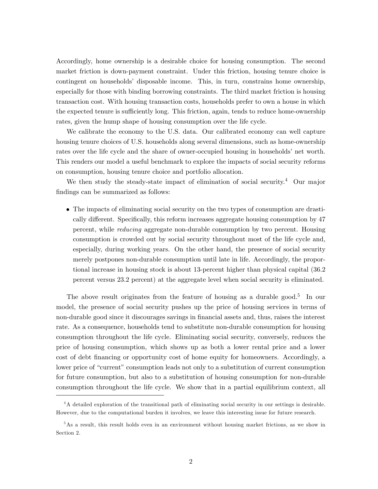Accordingly, home ownership is a desirable choice for housing consumption. The second market friction is down-payment constraint. Under this friction, housing tenure choice is contingent on households' disposable income. This, in turn, constrains home ownership, especially for those with binding borrowing constraints. The third market friction is housing transaction cost. With housing transaction costs, households prefer to own a house in which the expected tenure is sufficiently long. This friction, again, tends to reduce home-ownership rates, given the hump shape of housing consumption over the life cycle.

We calibrate the economy to the U.S. data. Our calibrated economy can well capture housing tenure choices of U.S. households along several dimensions, such as home-ownership rates over the life cycle and the share of owner-occupied housing in households' net worth. This renders our model a useful benchmark to explore the impacts of social security reforms on consumption, housing tenure choice and portfolio allocation.

We then study the steady-state impact of elimination of social security.<sup>4</sup> Our major findings can be summarized as follows:

 The impacts of eliminating social security on the two types of consumption are drastically different. Specifically, this reform increases aggregate housing consumption by 47 percent, while reducing aggregate non-durable consumption by two percent. Housing consumption is crowded out by social security throughout most of the life cycle and, especially, during working years. On the other hand, the presence of social security merely postpones non-durable consumption until late in life. Accordingly, the proportional increase in housing stock is about 13-percent higher than physical capital (36.2 percent versus 23.2 percent) at the aggregate level when social security is eliminated.

The above result originates from the feature of housing as a durable good.<sup>5</sup> In our model, the presence of social security pushes up the price of housing services in terms of non-durable good since it discourages savings in financial assets and, thus, raises the interest rate. As a consequence, households tend to substitute non-durable consumption for housing consumption throughout the life cycle. Eliminating social security, conversely, reduces the price of housing consumption, which shows up as both a lower rental price and a lower cost of debt financing or opportunity cost of home equity for homeowners. Accordingly, a lower price of "current" consumption leads not only to a substitution of current consumption for future consumption, but also to a substitution of housing consumption for non-durable consumption throughout the life cycle. We show that in a partial equilibrium context, all

<sup>&</sup>lt;sup>4</sup>A detailed exploration of the transitional path of eliminating social security in our settings is desirable. However, due to the computational burden it involves, we leave this interesting issue for future research.

<sup>&</sup>lt;sup>5</sup>As a result, this result holds even in an environment without housing market frictions, as we show in Section 2.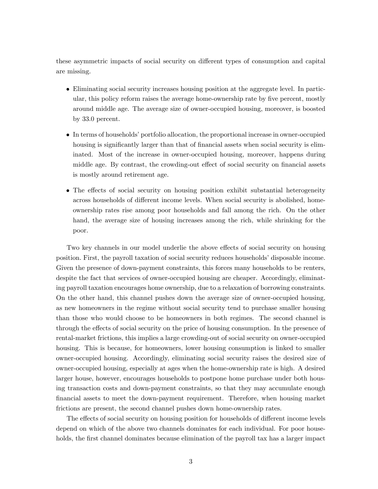these asymmetric impacts of social security on different types of consumption and capital are missing.

- Eliminating social security increases housing position at the aggregate level. In particular, this policy reform raises the average home-ownership rate by five percent, mostly around middle age. The average size of owner-occupied housing, moreover, is boosted by 33.0 percent.
- In terms of households' portfolio allocation, the proportional increase in owner-occupied housing is significantly larger than that of financial assets when social security is eliminated. Most of the increase in owner-occupied housing, moreover, happens during middle age. By contrast, the crowding-out effect of social security on financial assets is mostly around retirement age.
- The effects of social security on housing position exhibit substantial heterogeneity across households of different income levels. When social security is abolished, homeownership rates rise among poor households and fall among the rich. On the other hand, the average size of housing increases among the rich, while shrinking for the poor.

Two key channels in our model underlie the above effects of social security on housing position. First, the payroll taxation of social security reduces householdsí disposable income. Given the presence of down-payment constraints, this forces many households to be renters, despite the fact that services of owner-occupied housing are cheaper. Accordingly, eliminating payroll taxation encourages home ownership, due to a relaxation of borrowing constraints. On the other hand, this channel pushes down the average size of owner-occupied housing, as new homeowners in the regime without social security tend to purchase smaller housing than those who would choose to be homeowners in both regimes. The second channel is through the effects of social security on the price of housing consumption. In the presence of rental-market frictions, this implies a large crowding-out of social security on owner-occupied housing. This is because, for homeowners, lower housing consumption is linked to smaller owner-occupied housing. Accordingly, eliminating social security raises the desired size of owner-occupied housing, especially at ages when the home-ownership rate is high. A desired larger house, however, encourages households to postpone home purchase under both housing transaction costs and down-payment constraints, so that they may accumulate enough Önancial assets to meet the down-payment requirement. Therefore, when housing market frictions are present, the second channel pushes down home-ownership rates.

The effects of social security on housing position for households of different income levels depend on which of the above two channels dominates for each individual. For poor households, the first channel dominates because elimination of the payroll tax has a larger impact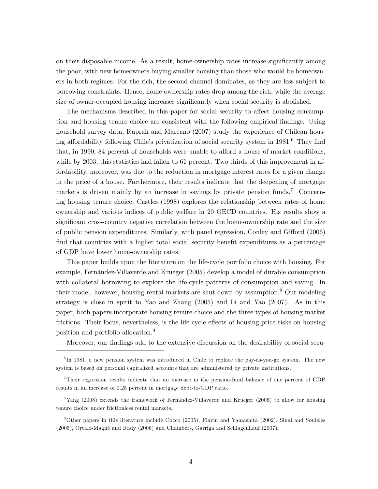on their disposable income. As a result, home-ownership rates increase significantly among the poor, with new homeowners buying smaller housing than those who would be homeowners in both regimes. For the rich, the second channel dominates, as they are less subject to borrowing constraints. Hence, home-ownership rates drop among the rich, while the average size of owner-occupied housing increases significantly when social security is abolished.

The mechanisms described in this paper for social security to affect housing consumption and housing tenure choice are consistent with the following empirical findings. Using household survey data, Ruprah and Marcano (2007) study the experience of Chilean housing affordability following Chile's privatization of social security system in  $1981<sup>6</sup>$  They find that, in 1990, 84 percent of households were unable to afford a house of market conditions, while by 2003, this statistics had fallen to 61 percent. Two thirds of this improvement in affordability, moreover, was due to the reduction in mortgage interest rates for a given change in the price of a house. Furthermore, their results indicate that the deepening of mortgage markets is driven mainly by an increase in savings by private pension funds.<sup>7</sup> Concerning housing tenure choice, Castles (1998) explores the relationship between rates of home ownership and various indices of public welfare in 20 OECD countries. His results show a significant cross-country negative correlation between the home-ownership rate and the size of public pension expenditures. Similarly, with panel regression, Conley and Gifford (2006) find that countries with a higher total social security benefit expenditures as a percentage of GDP have lower home-ownership rates.

This paper builds upon the literature on the life-cycle portfolio choice with housing. For example, Fernández-Villaverde and Krueger (2005) develop a model of durable consumption with collateral borrowing to explore the life-cycle patterns of consumption and saving. In their model, however, housing rental markets are shut down by assumption.<sup>8</sup> Our modeling strategy is close in spirit to Yao and Zhang (2005) and Li and Yao (2007). As in this paper, both papers incorporate housing tenure choice and the three types of housing market frictions. Their focus, nevertheless, is the life-cycle effects of housing-price risks on housing position and portfolio allocation.<sup>9</sup>

Moreover, our findings add to the extensive discussion on the desirability of social secu-

<sup>&</sup>lt;sup>6</sup>In 1981, a new pension system was introduced in Chile to replace the pay-as-you-go system. The new system is based on personal capitalized accounts that are administered by private institutions.

<sup>7</sup>Their regression results indicate that an increase in the pension-fund balance of one percent of GDP results in an increase of 0.25 percent in mortgage debt-to-GDP ratio.

 $8$ Yang (2008) extends the framework of Fernández-Villaverde and Krueger (2005) to allow for housing tenure choice under frictionless rental markets.

<sup>9</sup>Other papers in this literature include Cocco (2005), Flavin and Yamashita (2002), Sinai and Souleles (2005), Ortalo-MagnÈ and Rady (2006) and Chambers, Garriga and Schlagenhauf (2007).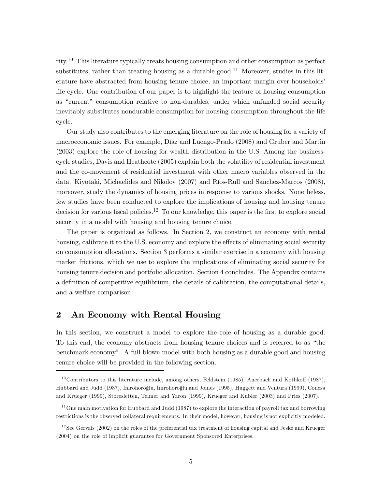rity.<sup>10</sup> This literature typically treats housing consumption and other consumption as perfect substitutes, rather than treating housing as a durable good.<sup>11</sup> Moreover, studies in this literature have abstracted from housing tenure choice, an important margin over households' life cycle. One contribution of our paper is to highlight the feature of housing consumption as "current" consumption relative to non-durables, under which unfunded social security inevitably substitutes nondurable consumption for housing consumption throughout the life cycle.

Our study also contributes to the emerging literature on the role of housing for a variety of macroeconomic issues. For example, DÌaz and Luengo-Prado (2008) and Gruber and Martin (2003) explore the role of housing for wealth distribution in the U.S. Among the businesscycle studies, Davis and Heathcote (2005) explain both the volatility of residential investment and the co-movement of residential investment with other macro variables observed in the data. Kiyotaki, Michaelides and Nikolov  $(2007)$  and Ríos-Rull and Sánchez-Marcos  $(2008)$ , moreover, study the dynamics of housing prices in response to various shocks. Nonetheless, few studies have been conducted to explore the implications of housing and housing tenure decision for various fiscal policies.<sup>12</sup> To our knowledge, this paper is the first to explore social security in a model with housing and housing tenure choice.

The paper is organized as follows. In Section 2, we construct an economy with rental housing, calibrate it to the U.S. economy and explore the effects of eliminating social security on consumption allocations. Section 3 performs a similar exercise in a economy with housing market frictions, which we use to explore the implications of eliminating social security for housing tenure decision and portfolio allocation. Section 4 concludes. The Appendix contains a definition of competitive equilibrium, the details of calibration, the computational details, and a welfare comparison.

# 2 An Economy with Rental Housing

In this section, we construct a model to explore the role of housing as a durable good. To this end, the economy abstracts from housing tenure choices and is referred to as "the benchmark economyî. A full-blown model with both housing as a durable good and housing tenure choice will be provided in the following section.

 $10$  Contributors to this literature include, among others, Feldstein (1985), Auerbach and Kotlikoff (1987), Hubbard and Judd (1987), Imrohoroğlu, İmrohoroğlu and Joines (1995), Huggett and Ventura (1999), Conesa and Krueger (1999), Storesletten, Telmer and Yaron (1999), Krueger and Kubler (2003) and Pries (2007).

 $11$ One main motivation for Hubbard and Judd (1987) to explore the interaction of payroll tax and borrowing restrictions is the observed collateral requirements. In their model, however, housing is not explicitly modeled.

 $12$  See Gervais (2002) on the roles of the preferential tax treatment of housing capital and Jeske and Krueger (2004) on the role of implicit guarantee for Government Sponsored Enterprises.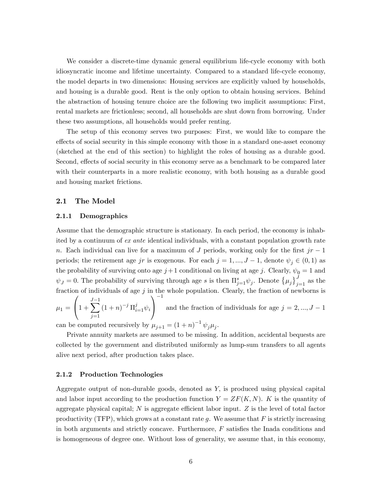We consider a discrete-time dynamic general equilibrium life-cycle economy with both idiosyncratic income and lifetime uncertainty. Compared to a standard life-cycle economy, the model departs in two dimensions: Housing services are explicitly valued by households, and housing is a durable good. Rent is the only option to obtain housing services. Behind the abstraction of housing tenure choice are the following two implicit assumptions: First, rental markets are frictionless; second, all households are shut down from borrowing. Under these two assumptions, all households would prefer renting.

The setup of this economy serves two purposes: First, we would like to compare the effects of social security in this simple economy with those in a standard one-asset economy (sketched at the end of this section) to highlight the roles of housing as a durable good. Second, effects of social security in this economy serve as a benchmark to be compared later with their counterparts in a more realistic economy, with both housing as a durable good and housing market frictions.

#### 2.1 The Model

#### 2.1.1 Demographics

Assume that the demographic structure is stationary. In each period, the economy is inhabited by a continuum of ex ante identical individuals, with a constant population growth rate n. Each individual can live for a maximum of J periods, working only for the first  $jr - 1$ periods; the retirement age jr is exogenous. For each  $j = 1, ..., J - 1$ , denote  $\psi_j \in (0, 1)$  as the probability of surviving onto age  $j+1$  conditional on living at age j. Clearly,  $\psi_0 = 1$  and  $\psi_J = 0$ . The probability of surviving through age s is then  $\Pi_{j=1}^s \psi_j$ . Denote  $\{\mu_j\}_{j=1}^J$  as the fraction of individuals of age  $j$  in the whole population. Clearly, the fraction of newborns is

 $\mu_1 =$  $\sqrt{ }$  $\left(1 + \right)$  $\sum$  $j=1$  $(1+n)^{-j} \Pi_{i=1}^j \psi_i$ 1 A  $^{-1}$ and the fraction of individuals for age  $j = 2, ..., J - 1$ 

can be computed recursively by  $\mu_{j+1} = (1+n)^{-1} \psi_j \mu_j$ .

Private annuity markets are assumed to be missing. In addition, accidental bequests are collected by the government and distributed uniformly as lump-sum transfers to all agents alive next period, after production takes place.

#### 2.1.2 Production Technologies

Aggregate output of non-durable goods, denoted as Y; is produced using physical capital and labor input according to the production function  $Y = ZF(K, N)$ . K is the quantity of aggregate physical capital;  $N$  is aggregate efficient labor input.  $Z$  is the level of total factor productivity (TFP), which grows at a constant rate g. We assume that  $F$  is strictly increasing in both arguments and strictly concave. Furthermore,  $F$  satisfies the Inada conditions and is homogeneous of degree one. Without loss of generality, we assume that, in this economy,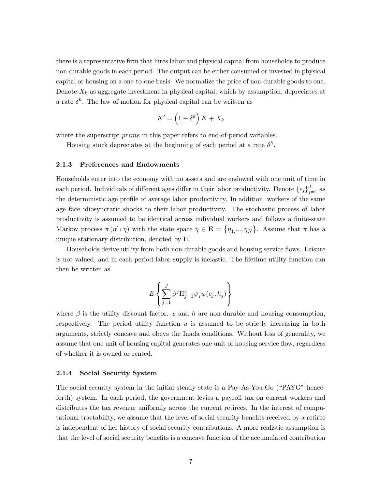there is a representative firm that hires labor and physical capital from households to produce non-durable goods in each period. The output can be either consumed or invested in physical capital or housing on a one-to-one basis. We normalize the price of non-durable goods to one. Denote  $X_k$  as aggregate investment in physical capital, which by assumption, depreciates at a rate  $\delta^k$ . The law of motion for physical capital can be written as

$$
K' = \left(1 - \delta^k\right)K + X_k
$$

where the superscript *prime* in this paper refers to end-of-period variables.

Housing stock depreciates at the beginning of each period at a rate  $\delta^h$ .

#### 2.1.3 Preferences and Endowments

Households enter into the economy with no assets and are endowed with one unit of time in each period. Individuals of different ages differ in their labor productivity. Denote  $\{\epsilon_j\}_{j=1}^J$  as the deterministic age profile of average labor productivity. In addition, workers of the same age face idiosyncratic shocks to their labor productivity. The stochastic process of labor productivity is assumed to be identical across individual workers and follows a finite-state Markov process  $\pi(\eta' \mid \eta)$  with the state space  $\eta \in \mathbf{E} = \{\eta_1, ..., \eta_N\}$ . Assume that  $\pi$  has a unique stationary distribution, denoted by  $\Pi$ .

Households derive utility from both non-durable goods and housing service flows. Leisure is not valued, and in each period labor supply is inelastic. The lifetime utility function can then be written as

$$
E\left\{ \sum_{j=1}^{J}\beta^{j}\Pi_{j=1}^{s}\psi_{j}u\left( c_{j},h_{j}\right) \right\}
$$

where  $\beta$  is the utility discount factor. c and h are non-durable and housing consumption, respectively. The period utility function  $u$  is assumed to be strictly increasing in both arguments, strictly concave and obeys the Inada conditions. Without loss of generality, we assume that one unit of housing capital generates one unit of housing service flow, regardless of whether it is owned or rented.

#### 2.1.4 Social Security System

The social security system in the initial steady state is a Pay-As-You-Go ("PAYG" henceforth) system. In each period, the government levies a payroll tax on current workers and distributes the tax revenue uniformly across the current retirees. In the interest of computational tractability, we assume that the level of social security benefits received by a retiree is independent of her history of social security contributions. A more realistic assumption is that the level of social security benefits is a concave function of the accumulated contribution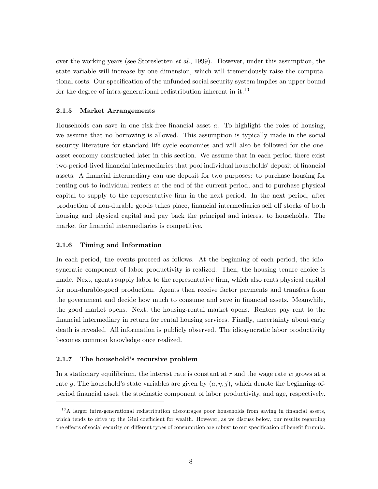over the working years (see Storesletten et al., 1999). However, under this assumption, the state variable will increase by one dimension, which will tremendously raise the computational costs. Our specification of the unfunded social security system implies an upper bound for the degree of intra-generational redistribution inherent in it.<sup>13</sup>

#### 2.1.5 Market Arrangements

Households can save in one risk-free financial asset  $a$ . To highlight the roles of housing, we assume that no borrowing is allowed. This assumption is typically made in the social security literature for standard life-cycle economies and will also be followed for the oneasset economy constructed later in this section. We assume that in each period there exist two-period-lived financial intermediaries that pool individual households' deposit of financial assets. A financial intermediary can use deposit for two purposes: to purchase housing for renting out to individual renters at the end of the current period, and to purchase physical capital to supply to the representative Örm in the next period. In the next period, after production of non-durable goods takes place, financial intermediaries sell off stocks of both housing and physical capital and pay back the principal and interest to households. The market for financial intermediaries is competitive.

#### 2.1.6 Timing and Information

In each period, the events proceed as follows. At the beginning of each period, the idiosyncratic component of labor productivity is realized. Then, the housing tenure choice is made. Next, agents supply labor to the representative firm, which also rents physical capital for non-durable-good production. Agents then receive factor payments and transfers from the government and decide how much to consume and save in financial assets. Meanwhile, the good market opens. Next, the housing-rental market opens. Renters pay rent to the Önancial intermediary in return for rental housing services. Finally, uncertainty about early death is revealed. All information is publicly observed. The idiosyncratic labor productivity becomes common knowledge once realized.

#### 2.1.7 The household's recursive problem

In a stationary equilibrium, the interest rate is constant at  $r$  and the wage rate  $w$  grows at a rate g. The household's state variables are given by  $(a, \eta, j)$ , which denote the beginning-ofperiod Önancial asset, the stochastic component of labor productivity, and age, respectively.

 $13A$  larger intra-generational redistribution discourages poor households from saving in financial assets, which tends to drive up the Gini coefficient for wealth. However, as we discuss below, our results regarding the effects of social security on different types of consumption are robust to our specification of benefit formula.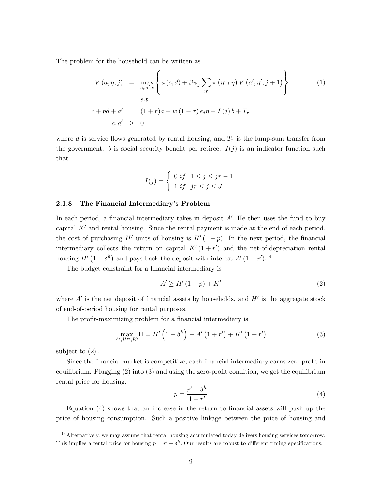The problem for the household can be written as

$$
V(a, \eta, j) = \max_{c, a', s} \left\{ u(c, d) + \beta \psi_j \sum_{\eta'} \pi(\eta' \mid \eta) V(a', \eta', j + 1) \right\}
$$
  
s.t.  

$$
c + pd + a' = (1 + r)a + w(1 - \tau) \epsilon_j \eta + I(j)b + T_r
$$
  

$$
c, a' \geq 0
$$
 (1)

where d is service flows generated by rental housing, and  $T_r$  is the lump-sum transfer from the government. b is social security benefit per retiree.  $I(j)$  is an indicator function such that

$$
I(j) = \begin{cases} 0 & \text{if } 1 \leq j \leq jr - 1 \\ 1 & \text{if } jr \leq j \leq J \end{cases}
$$

#### 2.1.8 The Financial Intermediary's Problem

In each period, a financial intermediary takes in deposit  $A'$ . He then uses the fund to buy capital  $K'$  and rental housing. Since the rental payment is made at the end of each period, the cost of purchasing H' units of housing is  $H'(1-p)$ . In the next period, the financial intermediary collects the return on capital  $K'(1 + r')$  and the net-of-depreciation rental housing  $H'(1 - \delta^h)$  and pays back the deposit with interest  $A'(1 + r')$ .<sup>14</sup>

The budget constraint for a financial intermediary is

$$
A' \ge H' \left(1 - p\right) + K' \tag{2}
$$

where  $A'$  is the net deposit of financial assets by households, and  $H'$  is the aggregate stock of end-of-period housing for rental purposes.

The profit-maximizing problem for a financial intermediary is

$$
\max_{A',H^{r'},K'} \Pi = H'\left(1 - \delta^{h}\right) - A'\left(1 + r'\right) + K'\left(1 + r'\right) \tag{3}
$$

subject to  $(2)$ .

Since the financial market is competitive, each financial intermediary earns zero profit in equilibrium. Plugging  $(2)$  into  $(3)$  and using the zero-profit condition, we get the equilibrium rental price for housing.

$$
p = \frac{r' + \delta^h}{1 + r'}\tag{4}
$$

Equation  $(4)$  shows that an increase in the return to financial assets will push up the price of housing consumption. Such a positive linkage between the price of housing and

 $14$  Alternatively, we may assume that rental housing accumulated today delivers housing services tomorrow. This implies a rental price for housing  $p = r' + \delta^h$ . Our results are robust to different timing specifications.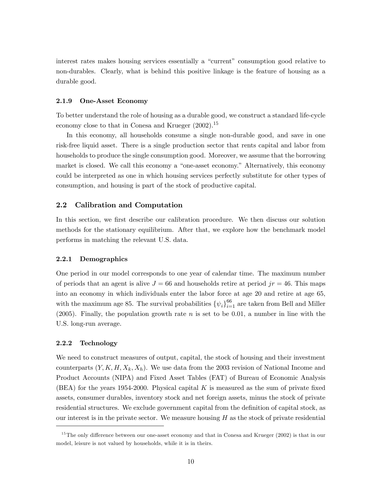interest rates makes housing services essentially a "current" consumption good relative to non-durables. Clearly, what is behind this positive linkage is the feature of housing as a durable good.

#### 2.1.9 One-Asset Economy

To better understand the role of housing as a durable good, we construct a standard life-cycle economy close to that in Conesa and Krueger  $(2002).^{15}$ 

In this economy, all households consume a single non-durable good, and save in one risk-free liquid asset. There is a single production sector that rents capital and labor from households to produce the single consumption good. Moreover, we assume that the borrowing market is closed. We call this economy a "one-asset economy." Alternatively, this economy could be interpreted as one in which housing services perfectly substitute for other types of consumption, and housing is part of the stock of productive capital.

#### 2.2 Calibration and Computation

In this section, we first describe our calibration procedure. We then discuss our solution methods for the stationary equilibrium. After that, we explore how the benchmark model performs in matching the relevant U.S. data.

#### 2.2.1 Demographics

One period in our model corresponds to one year of calendar time. The maximum number of periods that an agent is alive  $J = 66$  and households retire at period  $jr = 46$ . This maps into an economy in which individuals enter the labor force at age 20 and retire at age 65, with the maximum age 85. The survival probabilities  $\{\psi_i\}_{i=1}^{66}$  are taken from Bell and Miller (2005). Finally, the population growth rate  $n$  is set to be 0.01, a number in line with the U.S. long-run average.

#### 2.2.2 Technology

We need to construct measures of output, capital, the stock of housing and their investment counterparts  $(Y, K, H, X_k, X_h)$ . We use data from the 2003 revision of National Income and Product Accounts (NIPA) and Fixed Asset Tables (FAT) of Bureau of Economic Analysis (BEA) for the years 1954-2000. Physical capital K is measured as the sum of private fixed assets, consumer durables, inventory stock and net foreign assets, minus the stock of private residential structures. We exclude government capital from the definition of capital stock, as our interest is in the private sector. We measure housing  $H$  as the stock of private residential

 $15$ The only difference between our one-asset economy and that in Conesa and Krueger (2002) is that in our model, leisure is not valued by households, while it is in theirs.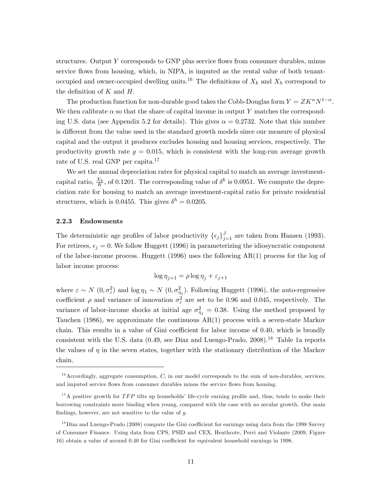structures. Output  $Y$  corresponds to GNP plus service flows from consumer durables, minus service flows from housing, which, in NIPA, is imputed as the rental value of both tenantoccupied and owner-occupied dwelling units.<sup>16</sup> The definitions of  $X_k$  and  $X_k$  correspond to the definition of  $K$  and  $H$ .

The production function for non-durable good takes the Cobb-Douglas form  $Y = ZK^{\alpha}N^{1-\alpha}$ . We then calibrate  $\alpha$  so that the share of capital income in output Y matches the corresponding U.S. data (see Appendix 5.2 for details). This gives  $\alpha = 0.2732$ . Note that this number is different from the value used in the standard growth models since our measure of physical capital and the output it produces excludes housing and housing services, respectively. The productivity growth rate  $g = 0.015$ , which is consistent with the long-run average growth rate of U.S. real GNP per capita.<sup>17</sup>

We set the annual depreciation rates for physical capital to match an average investmentcapital ratio,  $\frac{X_k}{K}$ , of 0.1201. The corresponding value of  $\delta^k$  is 0.0951. We compute the depreciation rate for housing to match an average investment-capital ratio for private residential structures, which is 0.0455. This gives  $\delta^h = 0.0205$ .

#### 2.2.3 Endowments

The deterministic age profiles of labor productivity  $\{\epsilon_j\}_{j=1}^J$  are taken from Hansen (1993). For retirees,  $\epsilon_j = 0$ . We follow Huggett (1996) in parameterizing the idiosyncratic component of the labor-income process. Huggett (1996) uses the following  $AR(1)$  process for the log of labor income process:

$$
\log \eta_{j+1} = \rho \log \eta_j + \varepsilon_{j+1}
$$

where  $\varepsilon \sim N(0, \sigma_{\varepsilon}^2)$  and  $\log \eta_1 \sim N(0, \sigma_{\eta_1}^2)$ . Following Huggett (1996), the auto-regressive coefficient  $\rho$  and variance of innovation  $\sigma_{\varepsilon}^2$  are set to be 0.96 and 0.045, respectively. The variance of labor-income shocks at initial age  $\sigma_{\eta_1}^2 = 0.38$ . Using the method proposed by Tauchen (1986), we approximate the continuous AR(1) process with a seven-state Markov chain. This results in a value of Gini coefficient for labor income of  $0.40$ , which is broadly consistent with the U.S. data  $(0.49, \text{ see } \text{Díaz and Luengo-Prado}, 2008).$ <sup>18</sup> Table 1a reports the values of  $\eta$  in the seven states, together with the stationary distribution of the Markov chain.

 $16$  Accordingly, aggregate consumption, C, in our model corresponds to the sum of non-durables, services, and imputed service flows from consumer durables minus the service flows from housing.

 $17A$  positive growth for TFP tilts up households' life-cycle earning profile and, thus, tends to make their borrowing constraints more binding when young, compared with the case with no secular growth. Our main findings, however, are not sensitive to the value of  $q$ .

 $18$  Díaz and Luengo-Prado (2008) compute the Gini coefficient for earnings using data from the 1998 Survey of Consumer Finance. Using data from CPS, PSID and CEX, Heathcote, Perri and Violante (2009, Figure 16) obtain a value of around 0.40 for Gini coefficient for equivalent household earnings in 1998.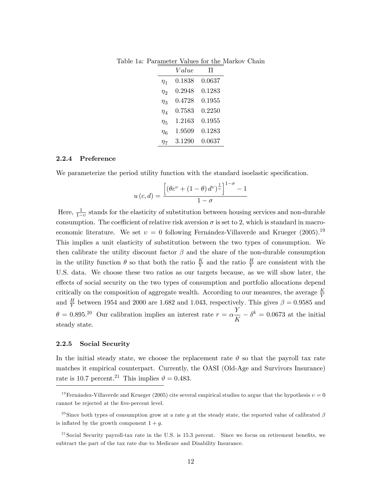|                | Value  | Π      |
|----------------|--------|--------|
| $\eta_{1}$     | 0.1838 | 0.0637 |
| $\eta_2$       | 0.2948 | 0.1283 |
| $\eta_3$       | 0.4728 | 0.1955 |
| $\eta_{\it 4}$ | 0.7583 | 0.2250 |
| $\eta_{5}$     | 1.2163 | 0.1955 |
| $\eta_6$       | 1.9509 | 0.1283 |
| $\eta_{7}$     | 3.1290 | 0.0637 |

Table 1a: Parameter Values for the Markov Chain

#### 2.2.4 Preference

We parameterize the period utility function with the standard isoelastic specification.

$$
u\left(c,d\right) = \frac{\left[\left(\theta c^{\upsilon} + \left(1-\theta\right)d^{\upsilon}\right)^{\frac{1}{\upsilon}}\right]^{1-\sigma} - 1}{1-\sigma}
$$

Here,  $\frac{1}{1-v}$  stands for the elasticity of substitution between housing services and non-durable consumption. The coefficient of relative risk aversion  $\sigma$  is set to 2, which is standard in macroeconomic literature. We set  $v = 0$  following Fernandez-Villaverde and Krueger (2005).<sup>19</sup> This implies a unit elasticity of substitution between the two types of consumption. We then calibrate the utility discount factor  $\beta$  and the share of the non-durable consumption in the utility function  $\theta$  so that both the ratio  $\frac{K}{Y}$  and the ratio  $\frac{H}{Y}$  are consistent with the U.S. data. We choose these two ratios as our targets because, as we will show later, the effects of social security on the two types of consumption and portfolio allocations depend critically on the composition of aggregate wealth. According to our measures, the average  $\frac{K}{Y}$ and  $\frac{H}{Y}$  between 1954 and 2000 are 1.682 and 1.043, respectively. This gives  $\beta = 0.9585$  and  $\theta = 0.895.^{20}$  Our calibration implies an interest rate  $r = \alpha \frac{Y}{I}$  $\frac{K}{K} - \delta^k = 0.0673$  at the initial steady state.

#### 2.2.5 Social Security

In the initial steady state, we choose the replacement rate  $\vartheta$  so that the payroll tax rate matches it empirical counterpart. Currently, the OASI (Old-Age and Survivors Insurance) rate is 10.7 percent.<sup>21</sup> This implies  $\vartheta = 0.483$ .

<sup>&</sup>lt;sup>19</sup>Fernández-Villaverde and Krueger (2005) cite several empirical studies to argue that the hypothesis  $v = 0$ cannot be rejected at the five-percent level.

<sup>&</sup>lt;sup>20</sup>Since both types of consumption grow at a rate g at the steady state, the reported value of calibrated  $\beta$ is inflated by the growth component  $1 + q$ .

 $^{21}$ Social Security payroll-tax rate in the U.S. is 15.3 percent. Since we focus on retirement benefits, we subtract the part of the tax rate due to Medicare and Disability Insurance.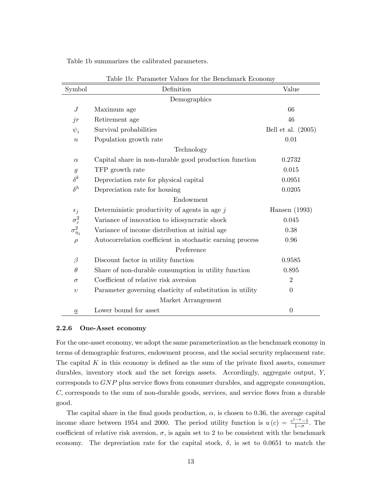| Table 1b summarizes the calibrated parameters. |  |  |
|------------------------------------------------|--|--|
|------------------------------------------------|--|--|

| Symbol                   | Definition                                                | Value                |
|--------------------------|-----------------------------------------------------------|----------------------|
|                          | Demographics                                              |                      |
| $\cal J$                 | Maximum age                                               | 66                   |
| jr                       | Retirement age                                            | 46                   |
| $\psi_i$                 | Survival probabilities                                    | Bell et al. $(2005)$ |
| $\boldsymbol{n}$         | Population growth rate                                    | 0.01                 |
|                          | Technology                                                |                      |
| $\alpha$                 | Capital share in non-durable good production function     | 0.2732               |
| $\mathfrak{g}$           | TFP growth rate                                           | 0.015                |
| $\delta^k$               | Depreciation rate for physical capital                    | 0.0951               |
| $\delta^h$               | Depreciation rate for housing                             | 0.0205               |
|                          | Endowment                                                 |                      |
| $\epsilon_j$             | Deterministic productivity of agents in age $j$           | Hansen $(1993)$      |
| $\sigma^2_{\varepsilon}$ | Variance of innovation to idiosyncratic shock             | 0.045                |
| $\sigma_{\eta_1}^2$      | Variance of income distribution at initial age            | 0.38                 |
| $\rho$                   | Autocorrelation coefficient in stochastic earning process | 0.96                 |
|                          | Preference                                                |                      |
| $\beta$                  | Discount factor in utility function                       | 0.9585               |
| $\theta$                 | Share of non-durable consumption in utility function      | 0.895                |
| $\sigma$                 | Coefficient of relative risk aversion                     | $\overline{2}$       |
| $\upsilon$               | Parameter governing elasticity of substitution in utility | $\overline{0}$       |
|                          | Market Arrangement                                        |                      |
| $\boldsymbol{a}$         | Lower bound for asset                                     | $\theta$             |

Table 1b: Parameter Values for the Benchmark Economy

#### 2.2.6 One-Asset economy

For the one-asset economy, we adopt the same parameterization as the benchmark economy in terms of demographic features, endowment process, and the social security replacement rate. The capital  $K$  in this economy is defined as the sum of the private fixed assets, consumer durables, inventory stock and the net foreign assets. Accordingly, aggregate output, Y, corresponds to  $GNP$  plus service flows from consumer durables, and aggregate consumption,  $C$ , corresponds to the sum of non-durable goods, services, and service flows from a durable good.

The capital share in the final goods production,  $\alpha$ , is chosen to 0.36, the average capital income share between 1954 and 2000. The period utility function is  $u(c) = \frac{c^{1-\sigma}-1}{1-\sigma}$  $\frac{0}{1-\sigma}$ . The coefficient of relative risk aversion,  $\sigma$ , is again set to 2 to be consistent with the benchmark economy. The depreciation rate for the capital stock,  $\delta$ , is set to 0.0651 to match the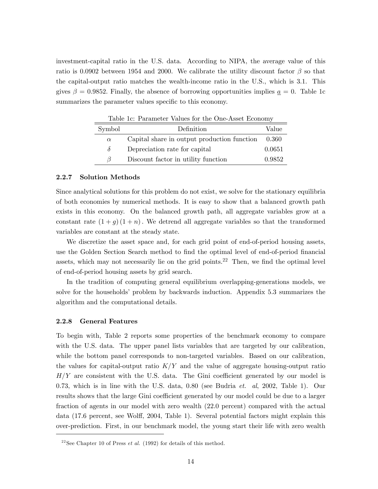investment-capital ratio in the U.S. data. According to NIPA, the average value of this ratio is 0.0902 between 1954 and 2000. We calibrate the utility discount factor  $\beta$  so that the capital-output ratio matches the wealth-income ratio in the U.S., which is 3.1. This gives  $\beta = 0.9852$ . Finally, the absence of borrowing opportunities implies  $\underline{a} = 0$ . Table 1c summarizes the parameter values specific to this economy.

|          | Taple Te. I argument variety for the One Three Heonomy |        |  |  |
|----------|--------------------------------------------------------|--------|--|--|
| Symbol   | Definition                                             | Value  |  |  |
| $\alpha$ | Capital share in output production function            | 0.360  |  |  |
| $\delta$ | Depreciation rate for capital                          | 0.0651 |  |  |
| $\beta$  | Discount factor in utility function                    | 0.9852 |  |  |

Table 1c: Parameter Values for the One-Asset Economy

#### 2.2.7 Solution Methods

Since analytical solutions for this problem do not exist, we solve for the stationary equilibria of both economies by numerical methods. It is easy to show that a balanced growth path exists in this economy. On the balanced growth path, all aggregate variables grow at a constant rate  $(1+g)(1+n)$ . We detrend all aggregate variables so that the transformed variables are constant at the steady state.

We discretize the asset space and, for each grid point of end-of-period housing assets, use the Golden Section Search method to find the optimal level of end-of-period financial assets, which may not necessarily lie on the grid points.<sup>22</sup> Then, we find the optimal level of end-of-period housing assets by grid search.

In the tradition of computing general equilibrium overlapping-generations models, we solve for the households' problem by backwards induction. Appendix 5.3 summarizes the algorithm and the computational details.

#### 2.2.8 General Features

To begin with, Table 2 reports some properties of the benchmark economy to compare with the U.S. data. The upper panel lists variables that are targeted by our calibration, while the bottom panel corresponds to non-targeted variables. Based on our calibration, the values for capital-output ratio  $K/Y$  and the value of aggregate housing-output ratio  $H/Y$  are consistent with the U.S. data. The Gini coefficient generated by our model is 0.73, which is in line with the U.S. data, 0.80 (see Budria  $et.$  al, 2002, Table 1). Our results shows that the large Gini coefficient generated by our model could be due to a larger fraction of agents in our model with zero wealth (22.0 percent) compared with the actual data  $(17.6 \text{ percent}, \text{see Wolf}, 2004, \text{Table 1}).$  Several potential factors might explain this over-prediction. First, in our benchmark model, the young start their life with zero wealth

<sup>&</sup>lt;sup>22</sup> See Chapter 10 of Press *et al.* (1992) for details of this method.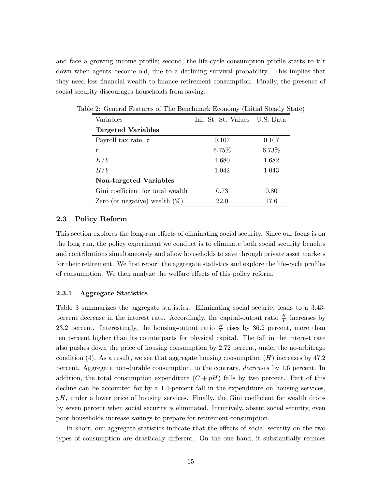and face a growing income profile; second, the life-cycle consumption profile starts to tilt down when agents become old, due to a declining survival probability. This implies that they need less financial wealth to finance retirement consumption. Finally, the presence of social security discourages households from saving.

| Variables                         | Ini. St. St. Values U.S. Data |          |
|-----------------------------------|-------------------------------|----------|
| <b>Targeted Variables</b>         |                               |          |
| Payroll tax rate, $\tau$          | 0.107                         | 0.107    |
| r                                 | $6.75\%$                      | $6.73\%$ |
| K/Y                               | 1.680                         | 1.682    |
| H/Y                               | 1.042                         | 1.043    |
| Non-targeted Variables            |                               |          |
| Gini coefficient for total wealth | 0.73                          | 0.80     |
| Zero (or negative) wealth $(\%)$  | 22.0                          | 17.6     |

Table 2: General Features of The Benchmark Economy (Initial Steady State)

#### 2.3 Policy Reform

This section explores the long-run effects of eliminating social security. Since our focus is on the long run, the policy experiment we conduct is to eliminate both social security benefits and contributions simultaneously and allow households to save through private asset markets for their retirement. We first report the aggregate statistics and explore the life-cycle profiles of consumption. We then analyze the welfare effects of this policy reform.

#### 2.3.1 Aggregate Statistics

Table 3 summarizes the aggregate statistics. Eliminating social security leads to a 3.43 percent decrease in the interest rate. Accordingly, the capital-output ratio  $\frac{K}{Y}$  increases by 23.2 percent. Interestingly, the housing-output ratio  $\frac{H}{Y}$  rises by 36.2 percent, more than ten percent higher than its counterparts for physical capital. The fall in the interest rate also pushes down the price of housing consumption by 2:72 percent, under the no-arbitrage condition (4). As a result, we see that aggregate housing consumption  $(H)$  increases by 47.2 percent. Aggregate non-durable consumption, to the contrary, decreases by 1.6 percent. In addition, the total consumption expenditure  $(C + pH)$  falls by two percent. Part of this decline can be accounted for by a 1.4-percent fall in the expenditure on housing services,  $pH$ , under a lower price of housing services. Finally, the Gini coefficient for wealth drops by seven percent when social security is eliminated. Intuitively, absent social security, even poor households increase savings to prepare for retirement consumption.

In short, our aggregate statistics indicate that the effects of social security on the two types of consumption are drastically different. On the one hand, it substantially reduces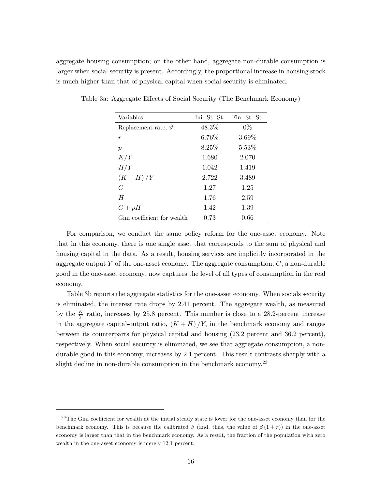aggregate housing consumption; on the other hand, aggregate non-durable consumption is larger when social security is present. Accordingly, the proportional increase in housing stock is much higher than that of physical capital when social security is eliminated.

| Variables                     | Ini. St. St. | Fin. St. St. |
|-------------------------------|--------------|--------------|
| Replacement rate, $\vartheta$ | 48.3%        | $0\%$        |
| $\boldsymbol{r}$              | 6.76%        | 3.69%        |
| $\boldsymbol{p}$              | 8.25%        | $5.53\%$     |
| K/Y                           | 1.680        | 2.070        |
| H/Y                           | 1.042        | 1.419        |
| $(K+H)/Y$                     | 2.722        | 3.489        |
| $\mathcal C$                  | 1.27         | 1.25         |
| H                             | 1.76         | 2.59         |
| $C+pH$                        | 1.42         | 1.39         |
| Gini coefficient for wealth   | 0.73         | 0.66         |

Table 3a: Aggregate Effects of Social Security (The Benchmark Economy)

For comparison, we conduct the same policy reform for the one-asset economy. Note that in this economy, there is one single asset that corresponds to the sum of physical and housing capital in the data. As a result, housing services are implicitly incorporated in the aggregate output Y of the one-asset economy. The aggregate consumption,  $C$ , a non-durable good in the one-asset economy; now captures the level of all types of consumption in the real economy.

Table 3b reports the aggregate statistics for the one-asset economy. When socials security is eliminated, the interest rate drops by 2.41 percent. The aggregate wealth, as measured by the  $\frac{K}{Y}$  ratio, increases by 25.8 percent. This number is close to a 28.2-percent increase in the aggregate capital-output ratio,  $(K + H)/Y$ , in the benchmark economy and ranges between its counterparts for physical capital and housing (23.2 percent and 36.2 percent), respectively. When social security is eliminated, we see that aggregate consumption, a nondurable good in this economy, increases by 2:1 percent. This result contrasts sharply with a slight decline in non-durable consumption in the benchmark economy.<sup>23</sup>

 $^{23}$ The Gini coefficient for wealth at the initial steady state is lower for the one-asset economy than for the benchmark economy. This is because the calibrated  $\beta$  (and, thus, the value of  $\beta(1+r)$ ) in the one-asset economy is larger than that in the benchmark economy. As a result, the fraction of the population with zero wealth in the one-asset economy is merely 12.1 percent.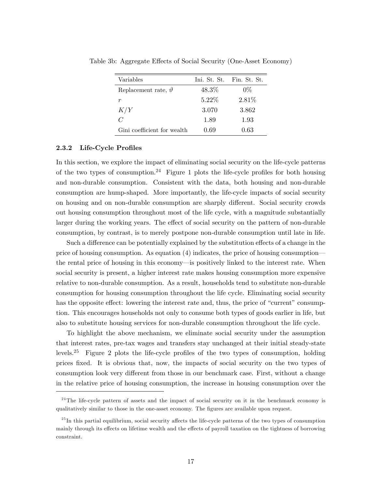| Variables                     |       | Ini, St. St. Fin, St. St. |
|-------------------------------|-------|---------------------------|
| Replacement rate, $\vartheta$ | 48.3% | $0\%$                     |
| r                             | 5.22% | 2.81\%                    |
| K/Y                           | 3.070 | 3.862                     |
| $\mathcal{C}$                 | 1.89  | 1.93                      |
| Gini coefficient for wealth   | 0.69  | 0.63                      |

Table 3b: Aggregate Effects of Social Security (One-Asset Economy)

#### 2.3.2 Life-Cycle Profiles

In this section, we explore the impact of eliminating social security on the life-cycle patterns of the two types of consumption.<sup>24</sup> Figure 1 plots the life-cycle profiles for both housing and non-durable consumption. Consistent with the data, both housing and non-durable consumption are hump-shaped. More importantly, the life-cycle impacts of social security on housing and on non-durable consumption are sharply different. Social security crowds out housing consumption throughout most of the life cycle, with a magnitude substantially larger during the working years. The effect of social security on the pattern of non-durable consumption, by contrast, is to merely postpone non-durable consumption until late in life.

Such a difference can be potentially explained by the substitution effects of a change in the price of housing consumption. As equation  $(4)$  indicates, the price of housing consumption the rental price of housing in this economy—is positively linked to the interest rate. When social security is present, a higher interest rate makes housing consumption more expensive relative to non-durable consumption. As a result, households tend to substitute non-durable consumption for housing consumption throughout the life cycle. Eliminating social security has the opposite effect: lowering the interest rate and, thus, the price of "current" consumption. This encourages households not only to consume both types of goods earlier in life, but also to substitute housing services for non-durable consumption throughout the life cycle.

To highlight the above mechanism, we eliminate social security under the assumption that interest rates, pre-tax wages and transfers stay unchanged at their initial steady-state levels.<sup>25</sup> Figure 2 plots the life-cycle profiles of the two types of consumption, holding prices Öxed. It is obvious that, now, the impacts of social security on the two types of consumption look very different from those in our benchmark case. First, without a change in the relative price of housing consumption, the increase in housing consumption over the

 $24$ The life-cycle pattern of assets and the impact of social security on it in the benchmark economy is qualitatively similar to those in the one-asset economy. The figures are available upon request.

 $^{25}$ In this partial equilibrium, social security affects the life-cycle patterns of the two types of consumption mainly through its effects on lifetime wealth and the effects of payroll taxation on the tightness of borrowing constraint.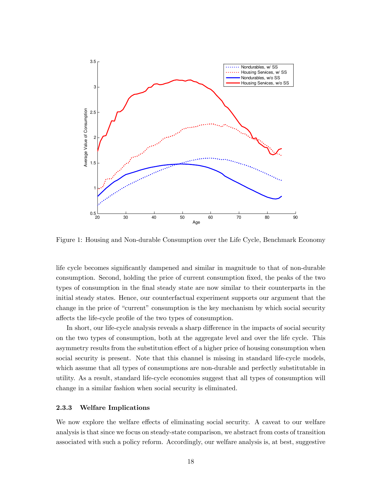

Figure 1: Housing and Non-durable Consumption over the Life Cycle, Benchmark Economy

life cycle becomes significantly dampened and similar in magnitude to that of non-durable consumption. Second, holding the price of current consumption fixed, the peaks of the two types of consumption in the Önal steady state are now similar to their counterparts in the initial steady states. Hence, our counterfactual experiment supports our argument that the change in the price of "current" consumption is the key mechanism by which social security affects the life-cycle profile of the two types of consumption.

In short, our life-cycle analysis reveals a sharp difference in the impacts of social security on the two types of consumption, both at the aggregate level and over the life cycle. This asymmetry results from the substitution effect of a higher price of housing consumption when social security is present. Note that this channel is missing in standard life-cycle models, which assume that all types of consumptions are non-durable and perfectly substitutable in utility. As a result, standard life-cycle economies suggest that all types of consumption will change in a similar fashion when social security is eliminated.

#### 2.3.3 Welfare Implications

We now explore the welfare effects of eliminating social security. A caveat to our welfare analysis is that since we focus on steady-state comparison, we abstract from costs of transition associated with such a policy reform. Accordingly, our welfare analysis is, at best, suggestive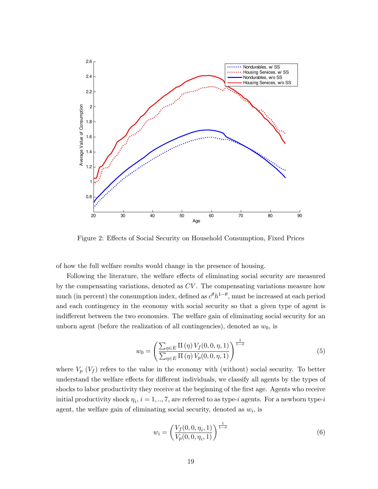

Figure 2: Effects of Social Security on Household Consumption, Fixed Prices

of how the full welfare results would change in the presence of housing.

Following the literature, the welfare effects of eliminating social security are measured by the compensating variations, denoted as CV . The compensating variations measure how much (in percent) the consumption index, defined as  $c^{\theta}h^{1-\theta}$ , must be increased at each period and each contingency in the economy with social security so that a given type of agent is indifferent between the two economies. The welfare gain of eliminating social security for an unborn agent (before the realization of all contingencies), denoted as  $w_0$ , is

$$
w_0 = \left(\frac{\sum_{\eta \in E} \Pi(\eta) V_f(0,0,\eta,1)}{\sum_{\eta \in E} \Pi(\eta) V_p(0,0,\eta,1)}\right)^{\frac{1}{1-\sigma}}
$$
(5)

where  $V_p$  ( $V_f$ ) refers to the value in the economy with (without) social security. To better understand the welfare effects for different individuals, we classify all agents by the types of shocks to labor productivity they receive at the beginning of the first age. Agents who receive initial productivity shock  $\eta_i$ ,  $i = 1, ..., 7$ , are referred to as type-i agents. For a newborn type-i agent, the welfare gain of eliminating social security, denoted as  $w_i$ , is

$$
w_i = \left(\frac{V_f(0, 0, \eta_i, 1)}{V_p(0, 0, \eta_i, 1)}\right)^{\frac{1}{1-\sigma}}
$$
\n(6)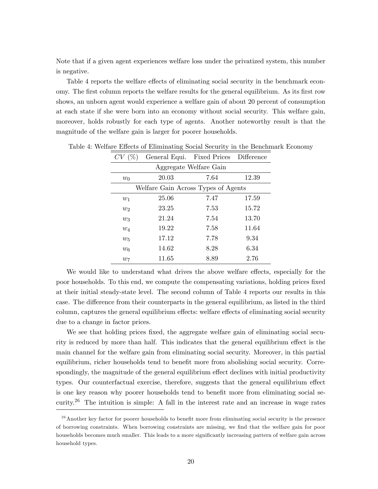Note that if a given agent experiences welfare loss under the privatized system, this number is negative.

Table 4 reports the welfare effects of eliminating social security in the benchmark economy. The first column reports the welfare results for the general equilibrium. As its first row shows, an unborn agent would experience a welfare gain of about 20 percent of consumption at each state if she were born into an economy without social security. This welfare gain, moreover, holds robustly for each type of agents. Another noteworthy result is that the magnitude of the welfare gain is larger for poorer households.

| CV(%) | General Equi. Fixed Prices Difference |                        |       |
|-------|---------------------------------------|------------------------|-------|
|       |                                       | Aggregate Welfare Gain |       |
| $w_0$ | 20.03                                 | 7.64                   | 12.39 |
|       | Welfare Gain Across Types of Agents   |                        |       |
| $w_1$ | 25.06                                 | 7.47                   | 17.59 |
| $w_2$ | 23.25                                 | 7.53                   | 15.72 |
| $w_3$ | 21.24                                 | 7.54                   | 13.70 |
| $w_4$ | 19.22                                 | 7.58                   | 11.64 |
| $w_5$ | 17.12                                 | 7.78                   | 9.34  |
| $w_6$ | 14.62                                 | 8.28                   | 6.34  |
| $w_7$ | 11.65                                 | 8.89                   | 2.76  |

Table 4: Welfare Effects of Eliminating Social Security in the Benchmark Economy

We would like to understand what drives the above welfare effects, especially for the poor households. To this end, we compute the compensating variations, holding prices Öxed at their initial steady-state level. The second column of Table 4 reports our results in this case. The difference from their counterparts in the general equilibrium, as listed in the third column, captures the general equilibrium effects: welfare effects of eliminating social security due to a change in factor prices.

We see that holding prices fixed, the aggregate welfare gain of eliminating social security is reduced by more than half. This indicates that the general equilibrium effect is the main channel for the welfare gain from eliminating social security. Moreover, in this partial equilibrium, richer households tend to benefit more from abolishing social security. Correspondingly, the magnitude of the general equilibrium effect declines with initial productivity types. Our counterfactual exercise, therefore, suggests that the general equilibrium effect is one key reason why poorer households tend to benefit more from eliminating social security.<sup>26</sup> The intuition is simple: A fall in the interest rate and an increase in wage rates

 $^{26}$  Another key factor for poorer households to benefit more from eliminating social security is the presence of borrowing constraints. When borrowing constraints are missing, we Önd that the welfare gain for poor households becomes much smaller. This leads to a more significantly increasing pattern of welfare gain across household types.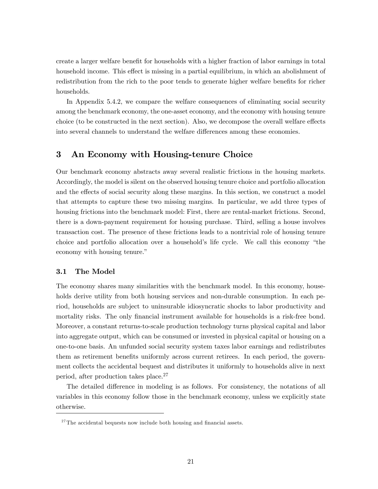create a larger welfare benefit for households with a higher fraction of labor earnings in total household income. This effect is missing in a partial equilibrium, in which an abolishment of redistribution from the rich to the poor tends to generate higher welfare benefits for richer households.

In Appendix 5.4.2, we compare the welfare consequences of eliminating social security among the benchmark economy, the one-asset economy, and the economy with housing tenure choice (to be constructed in the next section). Also, we decompose the overall welfare effects into several channels to understand the welfare differences among these economies.

## 3 An Economy with Housing-tenure Choice

Our benchmark economy abstracts away several realistic frictions in the housing markets. Accordingly, the model is silent on the observed housing tenure choice and portfolio allocation and the effects of social security along these margins. In this section, we construct a model that attempts to capture these two missing margins. In particular, we add three types of housing frictions into the benchmark model: First, there are rental-market frictions. Second, there is a down-payment requirement for housing purchase. Third, selling a house involves transaction cost. The presence of these frictions leads to a nontrivial role of housing tenure choice and portfolio allocation over a household's life cycle. We call this economy "the economy with housing tenure."

#### 3.1 The Model

The economy shares many similarities with the benchmark model. In this economy, households derive utility from both housing services and non-durable consumption. In each period, households are subject to uninsurable idiosyncratic shocks to labor productivity and mortality risks. The only financial instrument available for households is a risk-free bond. Moreover, a constant returns-to-scale production technology turns physical capital and labor into aggregate output, which can be consumed or invested in physical capital or housing on a one-to-one basis. An unfunded social security system taxes labor earnings and redistributes them as retirement benefits uniformly across current retirees. In each period, the government collects the accidental bequest and distributes it uniformly to households alive in next period, after production takes place.<sup>27</sup>

The detailed difference in modeling is as follows. For consistency, the notations of all variables in this economy follow those in the benchmark economy, unless we explicitly state otherwise.

 $^{27}$ The accidental bequests now include both housing and financial assets.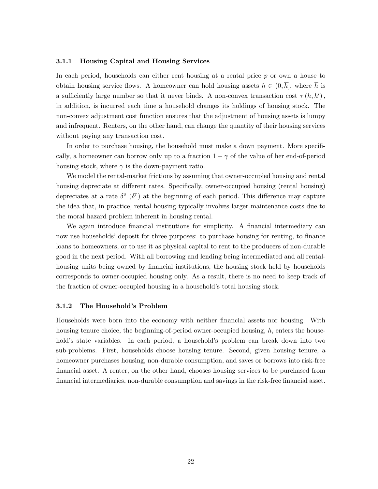#### 3.1.1 Housing Capital and Housing Services

In each period, households can either rent housing at a rental price p or own a house to obtain housing service flows. A homeowner can hold housing assets  $h \in (0, \overline{h}]$ , where  $\overline{h}$  is a sufficiently large number so that it never binds. A non-convex transaction cost  $\tau(h, h')$ , in addition, is incurred each time a household changes its holdings of housing stock. The non-convex adjustment cost function ensures that the adjustment of housing assets is lumpy and infrequent. Renters, on the other hand, can change the quantity of their housing services without paying any transaction cost.

In order to purchase housing, the household must make a down payment. More specifically, a homeowner can borrow only up to a fraction  $1 - \gamma$  of the value of her end-of-period housing stock, where  $\gamma$  is the down-payment ratio.

We model the rental-market frictions by assuming that owner-occupied housing and rental housing depreciate at different rates. Specifically, owner-occupied housing (rental housing) depreciates at a rate  $\delta^o$  ( $\delta^r$ ) at the beginning of each period. This difference may capture the idea that, in practice, rental housing typically involves larger maintenance costs due to the moral hazard problem inherent in housing rental.

We again introduce financial institutions for simplicity. A financial intermediary can now use households' deposit for three purposes: to purchase housing for renting, to finance loans to homeowners, or to use it as physical capital to rent to the producers of non-durable good in the next period. With all borrowing and lending being intermediated and all rentalhousing units being owned by financial institutions, the housing stock held by households corresponds to owner-occupied housing only. As a result, there is no need to keep track of the fraction of owner-occupied housing in a household's total housing stock.

#### 3.1.2 The Household's Problem

Households were born into the economy with neither Önancial assets nor housing. With housing tenure choice, the beginning-of-period owner-occupied housing,  $h$ , enters the household's state variables. In each period, a household's problem can break down into two sub-problems. First, households choose housing tenure. Second, given housing tenure, a homeowner purchases housing, non-durable consumption, and saves or borrows into risk-free Önancial asset. A renter, on the other hand, chooses housing services to be purchased from Önancial intermediaries, non-durable consumption and savings in the risk-free Önancial asset.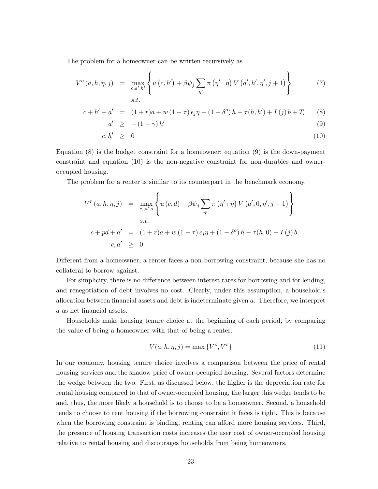The problem for a homeowner can be written recursively as

$$
V^{o}(a, h, \eta, j) = \max_{c, a', h'} \left\{ u(c, h') + \beta \psi_{j} \sum_{\eta'} \pi(\eta' \cdot \eta) V(a', h', \eta', j + 1) \right\}
$$
(7)

$$
c + h' + a' = (1+r)a + w(1-\tau)\epsilon_j \eta + (1-\delta^o) h - \tau(h, h') + I(j) b + T_r
$$
 (8)

$$
a' \geq - (1 - \gamma) h'
$$
\n<sup>(9)</sup>

$$
c, h' \geq 0 \tag{10}
$$

Equation  $(8)$  is the budget constraint for a homeowner; equation  $(9)$  is the down-payment constraint and equation (10) is the non-negative constraint for non-durables and owneroccupied housing.

The problem for a renter is similar to its counterpart in the benchmark economy.

$$
V^{r}(a, h, \eta, j) = \max_{c, a', s} \left\{ u(c, d) + \beta \psi_{j} \sum_{\eta'} \pi(\eta' \mid \eta) V(a', 0, \eta', j + 1) \right\}
$$
  
s.t.  

$$
c + pd + a' = (1 + r)a + w(1 - \tau) \epsilon_{j} \eta + (1 - \delta^{o}) h - \tau(h, 0) + I(j) b
$$
  

$$
c, a' \geq 0
$$

Different from a homeowner, a renter faces a non-borrowing constraint, because she has no collateral to borrow against.

For simplicity, there is no difference between interest rates for borrowing and for lending, and renegotiation of debt involves no cost. Clearly, under this assumption, a household's allocation between financial assets and debt is indeterminate given  $a$ . Therefore, we interpret a as net financial assets.

Households make housing tenure choice at the beginning of each period, by comparing the value of being a homeowner with that of being a renter.

$$
V(a, h, \eta, j) = \max\{V^o, V^r\}
$$
\n<sup>(11)</sup>

In our economy, housing tenure choice involves a comparison between the price of rental housing services and the shadow price of owner-occupied housing. Several factors determine the wedge between the two. First, as discussed below, the higher is the depreciation rate for rental housing compared to that of owner-occupied housing, the larger this wedge tends to be and, thus, the more likely a household is to choose to be a homeowner. Second, a household tends to choose to rent housing if the borrowing constraint it faces is tight. This is because when the borrowing constraint is binding, renting can afford more housing services. Third, the presence of housing transaction costs increases the user cost of owner-occupied housing relative to rental housing and discourages households from being homeowners.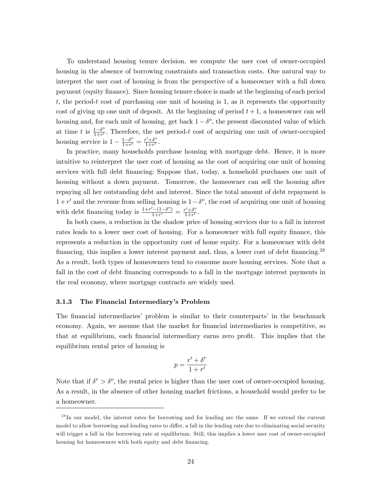To understand housing tenure decision, we compute the user cost of owner-occupied housing in the absence of borrowing constraints and transaction costs. One natural way to interpret the user cost of housing is from the perspective of a homeowner with a full down payment (equity finance). Since housing tenure choice is made at the beginning of each period  $t$ , the period-t cost of purchasing one unit of housing is 1, as it represents the opportunity cost of giving up one unit of deposit. At the beginning of period  $t + 1$ , a homeowner can sell housing and, for each unit of housing, get back  $1-\delta^o$ , the present discounted value of which at time t is  $\frac{1-\delta^o}{1+r'}$  $\frac{1-\delta^2}{1+r'}$ . Therefore, the net period-t cost of acquiring one unit of owner-occupied housing service is  $1 - \frac{1-\delta^o}{1+r'}$  $\frac{1-\delta^o}{1+r'} = \frac{r'+\delta^o}{1+r'}$  $\frac{r' + 0^{\circ}}{1+r'}$ .

In practice, many households purchase housing with mortgage debt. Hence, it is more intuitive to reinterpret the user cost of housing as the cost of acquiring one unit of housing services with full debt Önancing: Suppose that, today, a household purchases one unit of housing without a down payment. Tomorrow, the homeowner can sell the housing after repaying all her outstanding debt and interest. Since the total amount of debt repayment is  $1+r'$  and the revenue from selling housing is  $1-\delta^o$ , the cost of acquiring one unit of housing with debt financing today is  $\frac{1+r^{\prime}-(1-\delta^{\circ})}{1+r^{\prime}}$  $\frac{r^{\prime}-(1-\delta^{\circ})}{1+r^{\prime}}=\frac{r^{\prime}+\delta^{\circ}}{1+r^{\prime}}$  $\frac{r'+\delta^{\circ}}{1+r'}$ .

In both cases, a reduction in the shadow price of housing services due to a fall in interest rates leads to a lower user cost of housing. For a homeowner with full equity finance, this represents a reduction in the opportunity cost of home equity. For a homeowner with debt financing, this implies a lower interest payment and, thus, a lower cost of debt financing.<sup>28</sup> As a result, both types of homeowners tend to consume more housing services. Note that a fall in the cost of debt financing corresponds to a fall in the mortgage interest payments in the real economy, where mortgage contracts are widely used.

#### 3.1.3 The Financial Intermediary's Problem

The financial intermediaries' problem is similar to their counterparts' in the benchmark economy. Again, we assume that the market for financial intermediaries is competitive, so that at equilibrium, each financial intermediary earns zero profit. This implies that the equilibrium rental price of housing is

$$
p = \frac{r' + \delta^r}{1 + r'}
$$

Note that if  $\delta^r > \delta^o$ , the rental price is higher than the user cost of owner-occupied housing. As a result, in the absence of other housing market frictions, a household would prefer to be a homeowner.

 $^{28}$ In our model, the interest rates for borrowing and for lending are the same. If we extend the current model to allow borrowing and lending rates to differ, a fall in the lending rate due to eliminating social security will trigger a fall in the borrowing rate at equilibrium. Still, this implies a lower user cost of owner-occupied housing for homeowners with both equity and debt financing.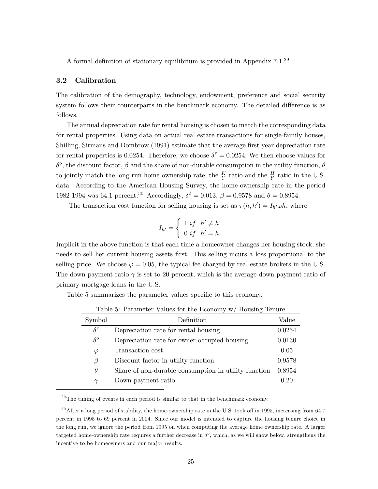A formal definition of stationary equilibrium is provided in Appendix  $7.1^{29}$ 

#### 3.2 Calibration

The calibration of the demography, technology, endowment, preference and social security system follows their counterparts in the benchmark economy. The detailed difference is as follows.

The annual depreciation rate for rental housing is chosen to match the corresponding data for rental properties. Using data on actual real estate transactions for single-family houses, Shilling, Sirmans and Dombrow (1991) estimate that the average Örst-year depreciation rate for rental properties is 0.0254. Therefore, we choose  $\delta^r = 0.0254$ . We then choose values for  $\delta^o$ , the discount factor,  $\beta$  and the share of non-durable consumption in the utility function,  $\theta$ to jointly match the long-run home-ownership rate, the  $\frac{K}{Y}$  ratio and the  $\frac{H}{Y}$  ratio in the U.S. data. According to the American Housing Survey, the home-ownership rate in the period 1982-1994 was 64.1 percent.<sup>30</sup> Accordingly,  $\delta^{\circ} = 0.013$ ,  $\beta = 0.9578$  and  $\theta = 0.8954$ .

The transaction cost function for selling housing is set as  $\tau(h, h') = I_{h'}\varphi h$ , where

$$
I_{h'} = \left\{ \begin{array}{ll} 1 \ if \quad h' \neq h \\ 0 \ if \quad h' = h \end{array} \right.
$$

Implicit in the above function is that each time a homeowner changes her housing stock, she needs to sell her current housing assets Örst. This selling incurs a loss proportional to the selling price. We choose  $\varphi = 0.05$ , the typical fee charged by real estate brokers in the U.S. The down-payment ratio  $\gamma$  is set to 20 percent, which is the average down-payment ratio of primary mortgage loans in the U.S.

Table 5 summarizes the parameter values specific to this economy.

| Symbol     | Definition                                           | Value  |
|------------|------------------------------------------------------|--------|
| $\delta^r$ | Depreciation rate for rental housing                 | 0.0254 |
| $\delta^o$ | Depreciation rate for owner-occupied housing         | 0.0130 |
| $\varphi$  | Transaction cost                                     | 0.05   |
| β          | Discount factor in utility function                  | 0.9578 |
| $\theta$   | Share of non-durable consumption in utility function | 0.8954 |
| $\gamma$   | Down payment ratio                                   | 0.20   |

Table 5: Parameter Values for the Economy w/ Housing Tenure

 $^{29}$ The timing of events in each period is similar to that in the benchmark economy.

 $30$ After a long period of stability, the home-ownership rate in the U.S. took off in 1995, increasing from 64.7 percent in 1995 to 69 percent in 2004. Since our model is intended to capture the housing tenure choice in the long run, we ignore the period from 1995 on when computing the average home ownership rate. A larger targeted home-ownership rate requires a further decrease in  $\delta^o$ , which, as we will show below, strengthens the incentive to be homeowners and our major results.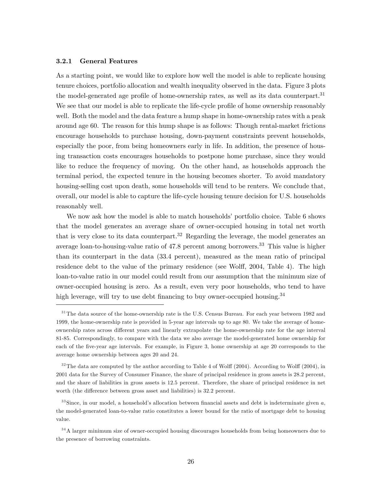#### 3.2.1 General Features

As a starting point, we would like to explore how well the model is able to replicate housing tenure choices, portfolio allocation and wealth inequality observed in the data. Figure 3 plots the model-generated age profile of home-ownership rates, as well as its data counterpart.<sup>31</sup> We see that our model is able to replicate the life-cycle profile of home ownership reasonably well. Both the model and the data feature a hump shape in home-ownership rates with a peak around age 60. The reason for this hump shape is as follows: Though rental-market frictions encourage households to purchase housing, down-payment constraints prevent households, especially the poor, from being homeowners early in life. In addition, the presence of housing transaction costs encourages households to postpone home purchase, since they would like to reduce the frequency of moving. On the other hand, as households approach the terminal period, the expected tenure in the housing becomes shorter. To avoid mandatory housing-selling cost upon death, some households will tend to be renters. We conclude that, overall, our model is able to capture the life-cycle housing tenure decision for U.S. households reasonably well.

We now ask how the model is able to match households' portfolio choice. Table 6 shows that the model generates an average share of owner-occupied housing in total net worth that is very close to its data counterpart.<sup>32</sup> Regarding the leverage, the model generates an average loan-to-housing-value ratio of 47.8 percent among borrowers.<sup>33</sup> This value is higher than its counterpart in the data (33.4 percent), measured as the mean ratio of principal residence debt to the value of the primary residence (see Wolff, 2004, Table 4). The high loan-to-value ratio in our model could result from our assumption that the minimum size of owner-occupied housing is zero. As a result, even very poor households, who tend to have high leverage, will try to use debt financing to buy owner-occupied housing.<sup>34</sup>

 $32$  The data are computed by the author according to Table 4 of Wolff (2004). According to Wolff (2004), in 2001 data for the Survey of Consumer Finance, the share of principal residence in gross assets is 28.2 percent, and the share of liabilities in gross assets is 12.5 percent. Therefore, the share of principal residence in net worth (the difference between gross asset and liabilities) is 32.2 percent.

 $33$ Since, in our model, a household's allocation between financial assets and debt is indeterminate given  $a$ , the model-generated loan-to-value ratio constitutes a lower bound for the ratio of mortgage debt to housing value.

<sup>&</sup>lt;sup>31</sup> The data source of the home-ownership rate is the U.S. Census Bureau. For each year between 1982 and 1999, the home-ownership rate is provided in 5-year age intervals up to age 80. We take the average of homeownership rates across different years and linearly extrapolate the home-ownership rate for the age interval 81-85. Correspondingly, to compare with the data we also average the model-generated home ownership for each of the five-year age intervals. For example, in Figure 3, home ownership at age 20 corresponds to the average home ownership between ages 20 and 24.

 $34$ A larger minimum size of owner-occupied housing discourages households from being homeowners due to the presence of borrowing constraints.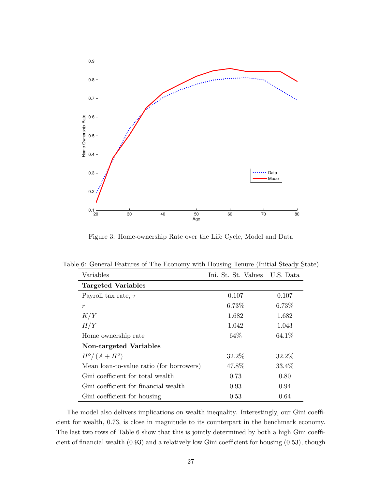

Figure 3: Home-ownership Rate over the Life Cycle, Model and Data

| Variables                                | Ini. St. St. Values | U.S. Data |
|------------------------------------------|---------------------|-----------|
| Targeted Variables                       |                     |           |
| Payroll tax rate, $\tau$                 | 0.107               | 0.107     |
| $\boldsymbol{r}$                         | 6.73%               | 6.73%     |
| K/Y                                      | 1.682               | 1.682     |
| H/Y                                      | 1.042               | 1.043     |
| Home ownership rate                      | 64\%                | 64.1%     |
| Non-targeted Variables                   |                     |           |
| $H^o/(A+H^o)$                            | 32.2\%              | 32.2\%    |
| Mean loan-to-value ratio (for borrowers) | 47.8%               | 33.4%     |
| Gini coefficient for total wealth        | 0.73                | 0.80      |
| Gini coefficient for financial wealth    | 0.93                | 0.94      |
| Gini coefficient for housing             | 0.53                | 0.64      |

Table 6: General Features of The Economy with Housing Tenure (Initial Steady State)

The model also delivers implications on wealth inequality. Interestingly, our Gini coefficient for wealth, 0.73, is close in magnitude to its counterpart in the benchmark economy. The last two rows of Table 6 show that this is jointly determined by both a high Gini coefficient of financial wealth  $(0.93)$  and a relatively low Gini coefficient for housing  $(0.53)$ , though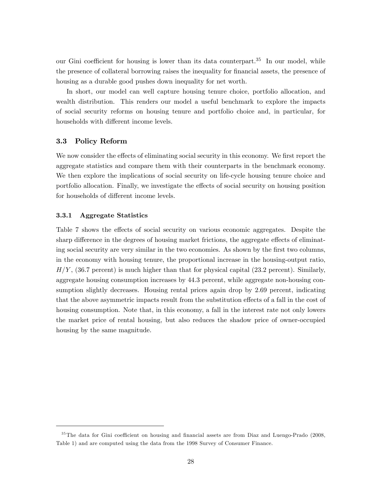our Gini coefficient for housing is lower than its data counterpart.<sup>35</sup> In our model, while the presence of collateral borrowing raises the inequality for financial assets, the presence of housing as a durable good pushes down inequality for net worth.

In short, our model can well capture housing tenure choice, portfolio allocation, and wealth distribution. This renders our model a useful benchmark to explore the impacts of social security reforms on housing tenure and portfolio choice and, in particular, for households with different income levels.

#### 3.3 Policy Reform

We now consider the effects of eliminating social security in this economy. We first report the aggregate statistics and compare them with their counterparts in the benchmark economy. We then explore the implications of social security on life-cycle housing tenure choice and portfolio allocation. Finally, we investigate the effects of social security on housing position for households of different income levels.

#### 3.3.1 Aggregate Statistics

Table 7 shows the effects of social security on various economic aggregates. Despite the sharp difference in the degrees of housing market frictions, the aggregate effects of eliminating social security are very similar in the two economies. As shown by the first two columns, in the economy with housing tenure, the proportional increase in the housing-output ratio,  $H/Y$ , (36.7 percent) is much higher than that for physical capital (23.2 percent). Similarly, aggregate housing consumption increases by 44.3 percent, while aggregate non-housing consumption slightly decreases. Housing rental prices again drop by 2.69 percent, indicating that the above asymmetric impacts result from the substitution effects of a fall in the cost of housing consumption. Note that, in this economy, a fall in the interest rate not only lowers the market price of rental housing, but also reduces the shadow price of owner-occupied housing by the same magnitude.

 $35$ The data for Gini coefficient on housing and financial assets are from Diaz and Luengo-Prado (2008, Table 1) and are computed using the data from the 1998 Survey of Consumer Finance.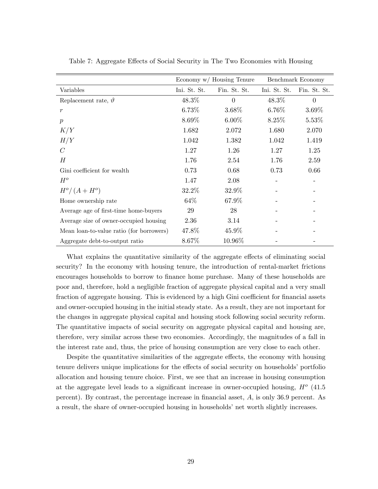|                                          | Economy w/ Housing Tenure |              |              | Benchmark Economy |
|------------------------------------------|---------------------------|--------------|--------------|-------------------|
| Variables                                | Ini. St. St.              | Fin. St. St. | Ini. St. St. | Fin. St. St.      |
| Replacement rate, $\vartheta$            | 48.3%                     | $\Omega$     | $48.3\%$     | $\overline{0}$    |
| $\boldsymbol{r}$                         | 6.73%                     | $3.68\%$     | $6.76\%$     | $3.69\%$          |
| $\boldsymbol{p}$                         | 8.69%                     | $6.00\%$     | $8.25\%$     | $5.53\%$          |
| K/Y                                      | 1.682                     | 2.072        | 1.680        | 2.070             |
| H/Y                                      | 1.042                     | 1.382        | 1.042        | 1.419             |
| $\mathcal C$                             | 1.27                      | 1.26         | 1.27         | 1.25              |
| $H_{\rm}$                                | 1.76                      | 2.54         | 1.76         | 2.59              |
| Gini coefficient for wealth              | 0.73                      | 0.68         | 0.73         | 0.66              |
| $H^o$                                    | 1.47                      | 2.08         |              |                   |
| $H^o/(A+H^o)$                            | 32.2%                     | 32.9%        |              |                   |
| Home ownership rate                      | 64\%                      | 67.9%        |              |                   |
| Average age of first-time home-buyers    | 29                        | 28           |              |                   |
| Average size of owner-occupied housing   | 2.36                      | 3.14         |              |                   |
| Mean loan-to-value ratio (for borrowers) | 47.8%                     | 45.9%        |              |                   |
| Aggregate debt-to-output ratio           | 8.67%                     | 10.96%       |              |                   |

Table 7: Aggregate Effects of Social Security in The Two Economies with Housing

What explains the quantitative similarity of the aggregate effects of eliminating social security? In the economy with housing tenure, the introduction of rental-market frictions encourages households to borrow to finance home purchase. Many of these households are poor and, therefore, hold a negligible fraction of aggregate physical capital and a very small fraction of aggregate housing. This is evidenced by a high Gini coefficient for financial assets and owner-occupied housing in the initial steady state. As a result, they are not important for the changes in aggregate physical capital and housing stock following social security reform. The quantitative impacts of social security on aggregate physical capital and housing are, therefore, very similar across these two economies. Accordingly, the magnitudes of a fall in the interest rate and, thus, the price of housing consumption are very close to each other.

Despite the quantitative similarities of the aggregate effects, the economy with housing tenure delivers unique implications for the effects of social security on households' portfolio allocation and housing tenure choice. First, we see that an increase in housing consumption at the aggregate level leads to a significant increase in owner-occupied housing,  $H^o$  (41.5) percent). By contrast, the percentage increase in financial asset,  $A$ , is only 36.9 percent. As a result, the share of owner-occupied housing in households' net worth slightly increases.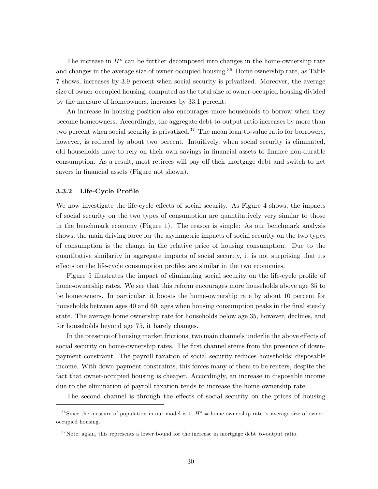The increase in  $H^o$  can be further decomposed into changes in the home-ownership rate and changes in the average size of owner-occupied housing.<sup>36</sup> Home ownership rate, as Table 7 shows, increases by 3:9 percent when social security is privatized. Moreover, the average size of owner-occupied housing, computed as the total size of owner-occupied housing divided by the measure of homeowners, increases by 33.1 percent.

An increase in housing position also encourages more households to borrow when they become homeowners. Accordingly, the aggregate debt-to-output ratio increases by more than two percent when social security is privatized.<sup>37</sup> The mean loan-to-value ratio for borrowers, however, is reduced by about two percent. Intuitively, when social security is eliminated, old households have to rely on their own savings in Önancial assets to Önance non-durable consumption. As a result, most retirees will pay off their mortgage debt and switch to net savers in financial assets (Figure not shown).

#### 3.3.2 Life-Cycle Profile

We now investigate the life-cycle effects of social security. As Figure 4 shows, the impacts of social security on the two types of consumption are quantitatively very similar to those in the benchmark economy (Figure 1). The reason is simple: As our benchmark analysis shows, the main driving force for the asymmetric impacts of social security on the two types of consumption is the change in the relative price of housing consumption. Due to the quantitative similarity in aggregate impacts of social security, it is not surprising that its effects on the life-cycle consumption profiles are similar in the two economies.

Figure 5 illustrates the impact of eliminating social security on the life-cycle profile of home-ownership rates. We see that this reform encourages more households above age 35 to be homeowners. In particular, it boosts the home-ownership rate by about 10 percent for households between ages 40 and 60, ages when housing consumption peaks in the final steady state. The average home ownership rate for households below age 35, however, declines, and for households beyond age 75, it barely changes.

In the presence of housing market frictions, two main channels underlie the above effects of social security on home-ownership rates. The first channel stems from the presence of downpayment constraint. The payroll taxation of social security reduces householdsí disposable income. With down-payment constraints, this forces many of them to be renters, despite the fact that owner-occupied housing is cheaper. Accordingly, an increase in disposable income due to the elimination of payroll taxation tends to increase the home-ownership rate.

The second channel is through the effects of social security on the prices of housing

<sup>&</sup>lt;sup>36</sup>Since the measure of population in our model is 1,  $H^o$  = home ownership rate  $\times$  average size of owneroccupied housing.

 $37$  Note, again, this represents a lower bound for the increase in mortgage debt-to-output ratio.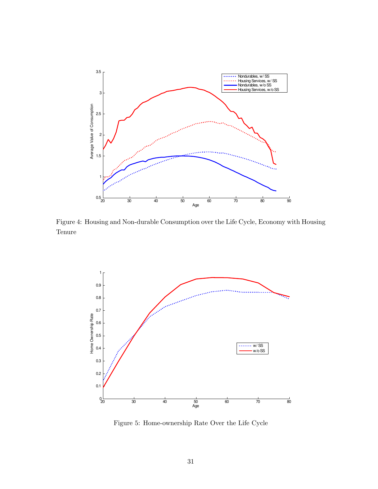

Figure 4: Housing and Non-durable Consumption over the Life Cycle, Economy with Housing Tenure



Figure 5: Home-ownership Rate Over the Life Cycle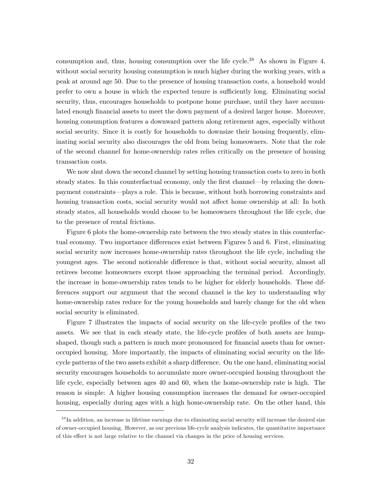consumption and, thus, housing consumption over the life cycle.<sup>38</sup> As shown in Figure 4, without social security housing consumption is much higher during the working years, with a peak at around age 50. Due to the presence of housing transaction costs, a household would prefer to own a house in which the expected tenure is sufficiently long. Eliminating social security, thus, encourages households to postpone home purchase, until they have accumulated enough financial assets to meet the down payment of a desired larger house. Moreover, housing consumption features a downward pattern along retirement ages, especially without social security. Since it is costly for households to downsize their housing frequently, eliminating social security also discourages the old from being homeowners. Note that the role of the second channel for home-ownership rates relies critically on the presence of housing transaction costs.

We now shut down the second channel by setting housing transaction costs to zero in both steady states. In this counterfactual economy, only the first channel—by relaxing the downpayment constraints—plays a role. This is because, without both borrowing constraints and housing transaction costs, social security would not affect home ownership at all: In both steady states, all households would choose to be homeowners throughout the life cycle, due to the presence of rental frictions.

Figure 6 plots the home-ownership rate between the two steady states in this counterfactual economy. Two importance differences exist between Figures 5 and 6. First, eliminating social security now increases home-ownership rates throughout the life cycle, including the youngest ages. The second noticeable difference is that, without social security, almost all retirees become homeowners except those approaching the terminal period. Accordingly, the increase in home-ownership rates tends to be higher for elderly households. These differences support our argument that the second channel is the key to understanding why home-ownership rates reduce for the young households and barely change for the old when social security is eliminated.

Figure 7 illustrates the impacts of social security on the life-cycle profiles of the two assets. We see that in each steady state, the life-cycle profiles of both assets are humpshaped, though such a pattern is much more pronounced for financial assets than for owneroccupied housing. More importantly, the impacts of eliminating social security on the lifecycle patterns of the two assets exhibit a sharp difference. On the one hand, eliminating social security encourages households to accumulate more owner-occupied housing throughout the life cycle, especially between ages 40 and 60, when the home-ownership rate is high. The reason is simple: A higher housing consumption increases the demand for owner-occupied housing, especially during ages with a high home-ownership rate. On the other hand, this

<sup>&</sup>lt;sup>38</sup>In addition, an increase in lifetime earnings due to eliminating social security will increase the desired size of owner-occupied housing. However, as our previous life-cycle analysis indicates, the quantitative importance of this effect is not large relative to the channel via changes in the price of housing services.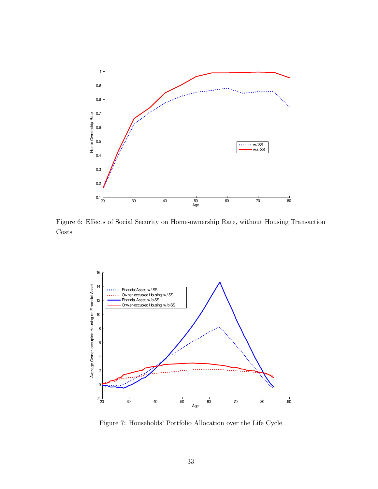

Figure 6: Effects of Social Security on Home-ownership Rate, without Housing Transaction Costs



Figure 7: Households' Portfolio Allocation over the Life Cycle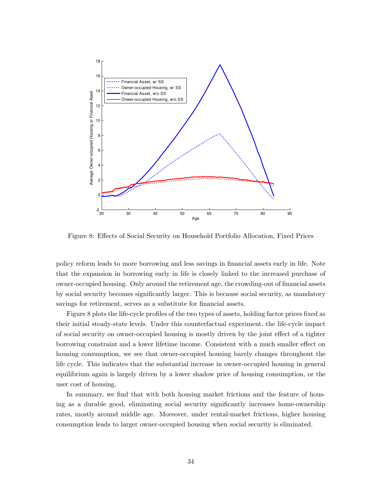

Figure 8: Effects of Social Security on Household Portfolio Allocation, Fixed Prices

policy reform leads to more borrowing and less savings in Önancial assets early in life. Note that the expansion in borrowing early in life is closely linked to the increased purchase of owner-occupied housing. Only around the retirement age, the crowding-out of financial assets by social security becomes significantly larger. This is because social security, as mandatory savings for retirement, serves as a substitute for financial assets.

Figure 8 plots the life-cycle profiles of the two types of assets, holding factor prices fixed as their initial steady-state levels. Under this counterfactual experiment, the life-cycle impact of social security on owner-occupied housing is mostly driven by the joint effect of a tighter borrowing constraint and a lower lifetime income. Consistent with a much smaller effect on housing consumption, we see that owner-occupied housing barely changes throughout the life cycle. This indicates that the substantial increase in owner-occupied housing in general equilibrium again is largely driven by a lower shadow price of housing consumption, or the user cost of housing.

In summary, we find that with both housing market frictions and the feature of housing as a durable good, eliminating social security significantly increases home-ownership rates, mostly around middle age. Moreover, under rental-market frictions, higher housing consumption leads to larger owner-occupied housing when social security is eliminated.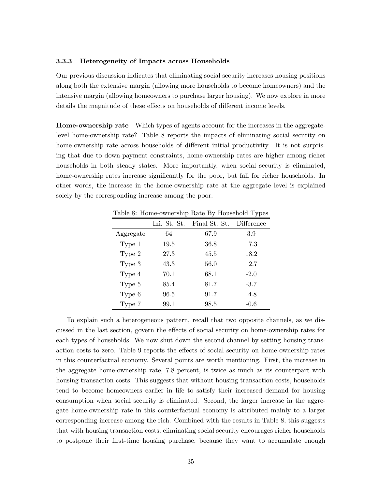#### 3.3.3 Heterogeneity of Impacts across Households

Our previous discussion indicates that eliminating social security increases housing positions along both the extensive margin (allowing more households to become homeowners) and the intensive margin (allowing homeowners to purchase larger housing). We now explore in more details the magnitude of these effects on households of different income levels.

Home-ownership rate Which types of agents account for the increases in the aggregatelevel home-ownership rate? Table 8 reports the impacts of eliminating social security on home-ownership rate across households of different initial productivity. It is not surprising that due to down-payment constraints, home-ownership rates are higher among richer households in both steady states. More importantly, when social security is eliminated, home-ownership rates increase significantly for the poor, but fall for richer households. In other words, the increase in the home-ownership rate at the aggregate level is explained solely by the corresponding increase among the poor.

| Table 8: Home-ownership Rate By Household Types |  |  |
|-------------------------------------------------|--|--|
|                                                 |  |  |

|           | Ini. St. St. | Final St. St. | Difference |
|-----------|--------------|---------------|------------|
| Aggregate | 64           | 67.9          | 3.9        |
| Type 1    | 19.5         | 36.8          | 17.3       |
| Type 2    | 27.3         | 45.5          | 18.2       |
| Type 3    | 43.3         | 56.0          | 12.7       |
| Type 4    | 70.1         | 68.1          | $-2.0$     |
| Type 5    | 85.4         | 81.7          | $-3.7$     |
| Type 6    | 96.5         | 91.7          | $-4.8$     |
| Type 7    | 99.1         | 98.5          | -0.6       |

To explain such a heterogeneous pattern, recall that two opposite channels, as we discussed in the last section, govern the effects of social security on home-ownership rates for each types of households. We now shut down the second channel by setting housing transaction costs to zero. Table 9 reports the effects of social security on home-ownership rates in this counterfactual economy. Several points are worth mentioning. First, the increase in the aggregate home-ownership rate, 7.8 percent, is twice as much as its counterpart with housing transaction costs. This suggests that without housing transaction costs, households tend to become homeowners earlier in life to satisfy their increased demand for housing consumption when social security is eliminated. Second, the larger increase in the aggregate home-ownership rate in this counterfactual economy is attributed mainly to a larger corresponding increase among the rich. Combined with the results in Table 8, this suggests that with housing transaction costs, eliminating social security encourages richer households to postpone their first-time housing purchase, because they want to accumulate enough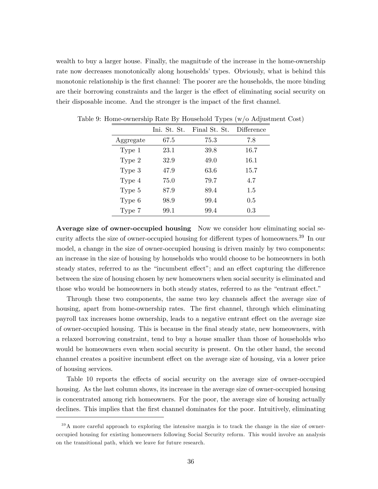wealth to buy a larger house. Finally, the magnitude of the increase in the home-ownership rate now decreases monotonically along households' types. Obviously, what is behind this monotonic relationship is the first channel: The poorer are the households, the more binding are their borrowing constraints and the larger is the effect of eliminating social security on their disposable income. And the stronger is the impact of the first channel.

|           | Ini. St. St. | Final St. St. | Difference |
|-----------|--------------|---------------|------------|
| Aggregate | 67.5         | 75.3          | 7.8        |
| Type 1    | 23.1         | 39.8          | 16.7       |
| Type 2    | 32.9         | 49.0          | 16.1       |
| Type 3    | 47.9         | 63.6          | 15.7       |
| Type 4    | 75.0         | 79.7          | 4.7        |
| Type 5    | 87.9         | 89.4          | 1.5        |
| Type 6    | 98.9         | 99.4          | $0.5\,$    |
| Type 7    | 99.1         | 99.4          | 0.3        |

Table 9: Home-ownership Rate By Household Types (w/o Adjustment Cost)

Average size of owner-occupied housing Now we consider how eliminating social security affects the size of owner-occupied housing for different types of homeowners.<sup>39</sup> In our model, a change in the size of owner-occupied housing is driven mainly by two components: an increase in the size of housing by households who would choose to be homeowners in both steady states, referred to as the "incumbent effect"; and an effect capturing the difference between the size of housing chosen by new homeowners when social security is eliminated and those who would be homeowners in both steady states, referred to as the "entrant effect."

Through these two components, the same two key channels affect the average size of housing, apart from home-ownership rates. The first channel, through which eliminating payroll tax increases home ownership, leads to a negative entrant effect on the average size of owner-occupied housing. This is because in the Önal steady state, new homeowners, with a relaxed borrowing constraint, tend to buy a house smaller than those of households who would be homeowners even when social security is present. On the other hand, the second channel creates a positive incumbent effect on the average size of housing, via a lower price of housing services.

Table 10 reports the effects of social security on the average size of owner-occupied housing. As the last column shows, its increase in the average size of owner-occupied housing is concentrated among rich homeowners. For the poor, the average size of housing actually declines. This implies that the first channel dominates for the poor. Intuitively, eliminating

 $39A$  more careful approach to exploring the intensive margin is to track the change in the size of owneroccupied housing for existing homeowners following Social Security reform. This would involve an analysis on the transitional path, which we leave for future research.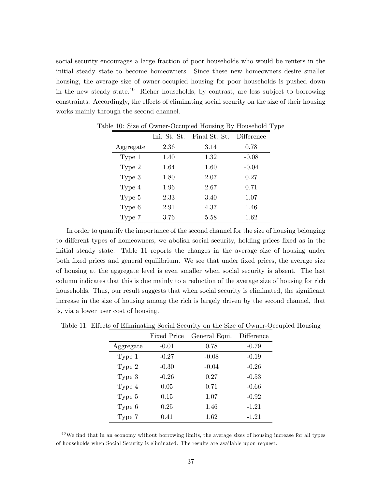social security encourages a large fraction of poor households who would be renters in the initial steady state to become homeowners. Since these new homeowners desire smaller housing, the average size of owner-occupied housing for poor households is pushed down in the new steady state.<sup>40</sup> Richer households, by contrast, are less subject to borrowing constraints. Accordingly, the effects of eliminating social security on the size of their housing works mainly through the second channel.

|           | Ini. St. St. | Final St. St. | Difference |
|-----------|--------------|---------------|------------|
| Aggregate | 2.36         | 3.14          | 0.78       |
| Type 1    | 1.40         | 1.32          | $-0.08$    |
| Type 2    | 1.64         | 1.60          | $-0.04$    |
| Type 3    | 1.80         | 2.07          | 0.27       |
| Type 4    | 1.96         | 2.67          | 0.71       |
| Type 5    | 2.33         | 3.40          | 1.07       |
| Type 6    | 2.91         | 4.37          | 1.46       |
| Type 7    | 3.76         | 5.58          | 1.62       |

Table 10: Size of Owner-Occupied Housing By Household Type

In order to quantify the importance of the second channel for the size of housing belonging to different types of homeowners, we abolish social security, holding prices fixed as in the initial steady state. Table 11 reports the changes in the average size of housing under both fixed prices and general equilibrium. We see that under fixed prices, the average size of housing at the aggregate level is even smaller when social security is absent. The last column indicates that this is due mainly to a reduction of the average size of housing for rich households. Thus, our result suggests that when social security is eliminated, the significant increase in the size of housing among the rich is largely driven by the second channel, that is, via a lower user cost of housing.

|           | <b>Fixed Price</b> | General Equi. | Difference |
|-----------|--------------------|---------------|------------|
| Aggregate | $-0.01$            | 0.78          | $-0.79$    |
| Type 1    | $-0.27$            | $-0.08$       | $-0.19$    |
| Type 2    | $-0.30$            | $-0.04$       | $-0.26$    |
| Type $3$  | $-0.26$            | 0.27          | $-0.53$    |
| Type 4    | 0.05               | 0.71          | $-0.66$    |
| Type 5    | 0.15               | 1.07          | $-0.92$    |
| Type 6    | 0.25               | 1.46          | $-1.21$    |
| Type 7    | 0.41               | 1.62          | $-1.21$    |

Table 11: Effects of Eliminating Social Security on the Size of Owner-Occupied Housing

 $^{40}$ We find that in an economy without borrowing limits, the average sizes of housing increase for all types of households when Social Security is eliminated. The results are available upon request.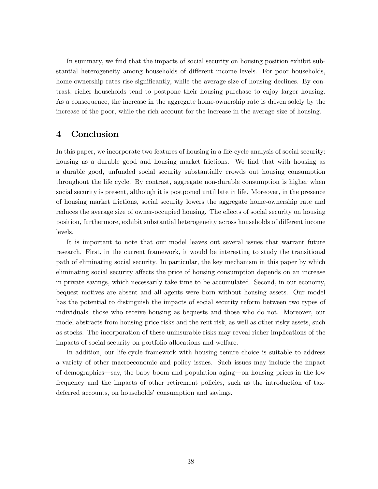In summary, we find that the impacts of social security on housing position exhibit substantial heterogeneity among households of different income levels. For poor households, home-ownership rates rise significantly, while the average size of housing declines. By contrast, richer households tend to postpone their housing purchase to enjoy larger housing. As a consequence, the increase in the aggregate home-ownership rate is driven solely by the increase of the poor, while the rich account for the increase in the average size of housing.

### 4 Conclusion

In this paper, we incorporate two features of housing in a life-cycle analysis of social security: housing as a durable good and housing market frictions. We find that with housing as a durable good, unfunded social security substantially crowds out housing consumption throughout the life cycle. By contrast, aggregate non-durable consumption is higher when social security is present, although it is postponed until late in life. Moreover, in the presence of housing market frictions, social security lowers the aggregate home-ownership rate and reduces the average size of owner-occupied housing. The effects of social security on housing position, furthermore, exhibit substantial heterogeneity across households of different income levels.

It is important to note that our model leaves out several issues that warrant future research. First, in the current framework, it would be interesting to study the transitional path of eliminating social security. In particular, the key mechanism in this paper by which eliminating social security affects the price of housing consumption depends on an increase in private savings, which necessarily take time to be accumulated. Second, in our economy, bequest motives are absent and all agents were born without housing assets. Our model has the potential to distinguish the impacts of social security reform between two types of individuals: those who receive housing as bequests and those who do not. Moreover, our model abstracts from housing-price risks and the rent risk, as well as other risky assets, such as stocks. The incorporation of these uninsurable risks may reveal richer implications of the impacts of social security on portfolio allocations and welfare.

In addition, our life-cycle framework with housing tenure choice is suitable to address a variety of other macroeconomic and policy issues. Such issues may include the impact of demographics—say, the baby boom and population aging—on housing prices in the low frequency and the impacts of other retirement policies, such as the introduction of taxdeferred accounts, on households' consumption and savings.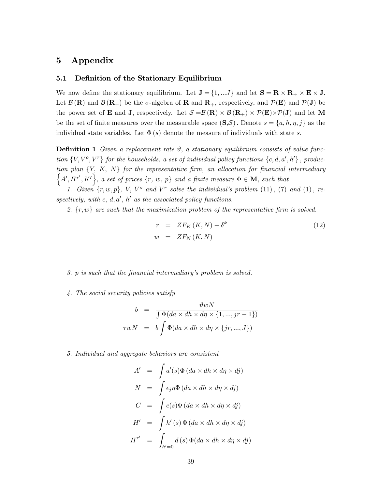# 5 Appendix

#### 5.1 Definition of the Stationary Equilibrium

We now define the stationary equilibrium. Let  $J = \{1, ...J\}$  and let  $S = R \times R_+ \times E \times J$ . Let  $\mathcal{B}(\mathbf{R})$  and  $\mathcal{B}(\mathbf{R}_+)$  be the  $\sigma$ -algebra of **R** and  $\mathbf{R}_+$ , respectively, and  $\mathcal{P}(\mathbf{E})$  and  $\mathcal{P}(\mathbf{J})$  be the power set of **E** and **J**, respectively. Let  $S = B(\mathbf{R}) \times B(\mathbf{R}_{+}) \times \mathcal{P}(\mathbf{E}) \times \mathcal{P}(\mathbf{J})$  and let M be the set of finite measures over the measurable space  $(S, S)$ . Denote  $s = \{a, h, \eta, j\}$  as the individual state variables. Let  $\Phi(s)$  denote the measure of individuals with state s.

**Definition 1** Given a replacement rate  $\vartheta$ , a stationary equilibrium consists of value function  $\{V, V^o, V^r\}$  for the households, a set of individual policy functions  $\{c, d, a', h'\}$ , production plan  $\{Y, K, N\}$  for the representative firm, an allocation for financial intermediary  $\{A', H^{r'}, K'\}$ , a set of prices  $\{r, w, p\}$  and a finite measure  $\Phi \in \mathbf{M}$ , such that

1. Given  $\{r, w, p\}$ , V, V° and V<sup>r</sup> solve the individual's problem  $(11)$ ,  $(7)$  and  $(1)$ , respectively, with c,  $d, a', h'$  as the associated policy functions.

2.  $\{r, w\}$  are such that the maximization problem of the representative firm is solved.

$$
r = ZF_K(K, N) - \delta^k
$$
  
\n
$$
w = ZF_N(K, N)
$$
\n(12)

3. p is such that the Önancial intermediaryís problem is solved.

4. The social security policies satisfy

$$
b = \frac{\vartheta wN}{\int \Phi(da \times dh \times d\eta \times \{1, ..., jr - 1\})}
$$
  
\n
$$
\tau wN = b \int \Phi(da \times dh \times d\eta \times \{jr, ..., J\})
$$

5. Individual and aggregate behaviors are consistent

$$
A' = \int a'(s)\Phi(da \times dh \times d\eta \times dj)
$$
  
\n
$$
N = \int \epsilon_j \eta \Phi(da \times dh \times d\eta \times dj)
$$
  
\n
$$
C = \int c(s)\Phi(da \times dh \times d\eta \times dj)
$$
  
\n
$$
H' = \int h'(s)\Phi(da \times dh \times d\eta \times dj)
$$
  
\n
$$
H'' = \int_{h'=0}^{h'} d(s)\Phi(da \times dh \times d\eta \times dj)
$$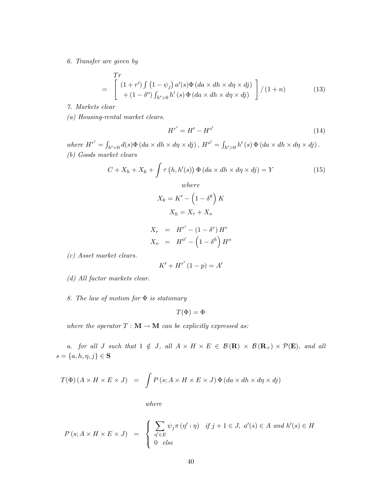6. Transfer are given by

$$
= \begin{bmatrix} Tr \\ (1+r') \int (1-\psi_j) a'(s) \Phi (da \times dh \times d\eta \times d\eta) \\ + (1-\delta^o) \int_{h' > 0} h'(s) \Phi (da \times dh \times d\eta \times d\eta) \end{bmatrix} / (1+n)
$$
(13)

7. Markets clear

(a) Housing-rental market clears.

$$
H^{r'} = H' - H^{o'} \tag{14}
$$

where  $H^{r'} = \int_{h'=0} d(s) \Phi(da \times dh \times d\eta \times dj)$ ,  $H^{o'} = \int_{h'>0} h'(s) \Phi(da \times dh \times d\eta \times dj)$ . (b) Goods market clears

$$
C + X_h + X_k + \int \tau(h, h'(s)) \Phi(da \times dh \times d\eta \times dj) = Y
$$
\n(15)

\nwhere

$$
X_k = K' - \left(1 - \delta^k\right)K
$$

$$
X_h = X_r + X_o
$$

$$
X_r = H^{r'} - (1 - \delta^r) H^r
$$
  

$$
X_o = H^{o'} - (1 - \delta^h) H^o
$$

(c) Asset market clears.

$$
K' + H^{r'}(1 - p) = A'
$$

(d) All factor markets clear.

8. The law of motion for  $\Phi$  is stationary

$$
T(\Phi)=\Phi
$$

where the operator  $T : \mathbf{M} \to \mathbf{M}$  can be explicitly expressed as:

a. for all J such that  $1 \notin J$ , all  $A \times H \times E \in \mathcal{B}(\mathbf{R}) \times \mathcal{B}(\mathbf{R}_{+}) \times \mathcal{P}(\mathbf{E})$ , and all  $s = \{a, h, \eta, j\} \in \mathbf{S}$ 

$$
T(\Phi) (A \times H \times E \times J) = \int P(s; A \times H \times E \times J) \Phi(da \times dh \times d\eta \times dj)
$$

where

$$
P(s; A \times H \times E \times J) = \begin{cases} \sum_{\eta' \in E} \psi_j \pi(\eta' \cdot \eta) & \text{if } j+1 \in J, \ a'(s) \in A \ and \ h'(s) \in H \\ 0 & \text{else} \end{cases}
$$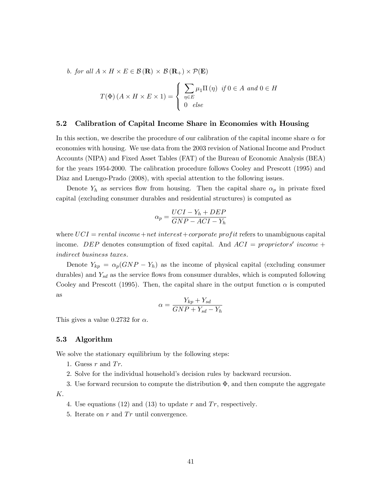b. for all  $A \times H \times E \in \mathcal{B}(\mathbf{R}) \times \mathcal{B}(\mathbf{R}_{+}) \times \mathcal{P}(\mathbf{E})$ 

$$
T(\Phi) (A \times H \times E \times 1) = \begin{cases} \sum_{\eta \in E} \mu_1 \Pi(\eta) & \text{if } 0 \in A \text{ and } 0 \in H \\ 0 & \text{else} \end{cases}
$$

#### 5.2 Calibration of Capital Income Share in Economies with Housing

In this section, we describe the procedure of our calibration of the capital income share  $\alpha$  for economies with housing. We use data from the 2003 revision of National Income and Product Accounts (NIPA) and Fixed Asset Tables (FAT) of the Bureau of Economic Analysis (BEA) for the years 1954-2000. The calibration procedure follows Cooley and Prescott (1995) and Díaz and Luengo-Prado (2008), with special attention to the following issues.

Denote  $Y_h$  as services flow from housing. Then the capital share  $\alpha_p$  in private fixed capital (excluding consumer durables and residential structures) is computed as

$$
\alpha_p = \frac{UCI - Y_h + DEP}{GNP - ACI - Y_h}
$$

where  $UCI = rental income + net interest + corporate profit refers to unambiguous capital$ income. DEP denotes consumption of fixed capital. And  $ACI = properties'$  income + indirect business taxes.

Denote  $Y_{kp} = \alpha_p(GNP - Y_h)$  as the income of physical capital (excluding consumer durables) and  $Y_{sd}$  as the service flows from consumer durables, which is computed following Cooley and Prescott (1995). Then, the capital share in the output function  $\alpha$  is computed as

$$
\alpha = \frac{Y_{kp} + Y_{sd}}{GNP + Y_{sd} - Y_h}
$$

This gives a value 0.2732 for  $\alpha$ .

#### 5.3 Algorithm

We solve the stationary equilibrium by the following steps:

- 1. Guess  $r$  and  $Tr$ .
- 2. Solve for the individual householdís decision rules by backward recursion.

3. Use forward recursion to compute the distribution  $\Phi$ , and then compute the aggregate K:

- 4. Use equations (12) and (13) to update r and  $Tr$ , respectively.
- 5. Iterate on  $r$  and  $Tr$  until convergence.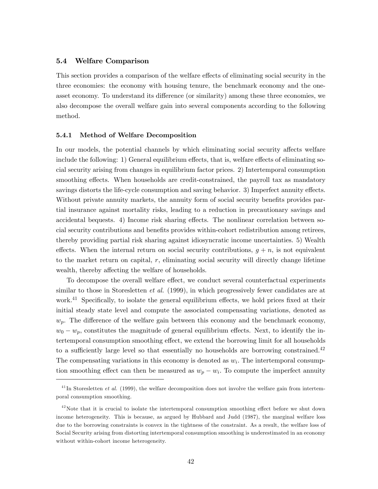#### 5.4 Welfare Comparison

This section provides a comparison of the welfare effects of eliminating social security in the three economies: the economy with housing tenure, the benchmark economy and the oneasset economy. To understand its difference (or similarity) among these three economies, we also decompose the overall welfare gain into several components according to the following method.

#### 5.4.1 Method of Welfare Decomposition

In our models, the potential channels by which eliminating social security affects welfare include the following: 1) General equilibrium effects, that is, welfare effects of eliminating social security arising from changes in equilibrium factor prices. 2) Intertemporal consumption smoothing effects. When households are credit-constrained, the payroll tax as mandatory savings distorts the life-cycle consumption and saving behavior. 3) Imperfect annuity effects. Without private annuity markets, the annuity form of social security benefits provides partial insurance against mortality risks, leading to a reduction in precautionary savings and accidental bequests.  $4)$  Income risk sharing effects. The nonlinear correlation between social security contributions and benefits provides within-cohort redistribution among retirees, thereby providing partial risk sharing against idiosyncratic income uncertainties. 5) Wealth effects. When the internal return on social security contributions,  $g + n$ , is not equivalent to the market return on capital, r, eliminating social security will directly change lifetime wealth, thereby affecting the welfare of households.

To decompose the overall welfare effect, we conduct several counterfactual experiments similar to those in Storesletten *et al.* (1999), in which progressively fewer candidates are at work.<sup>41</sup> Specifically, to isolate the general equilibrium effects, we hold prices fixed at their initial steady state level and compute the associated compensating variations, denoted as  $w_p$ . The difference of the welfare gain between this economy and the benchmark economy,  $w_0 - w_p$ , constitutes the magnitude of general equilibrium effects. Next, to identify the intertemporal consumption smoothing effect, we extend the borrowing limit for all households to a sufficiently large level so that essentially no households are borrowing constrained. $^{42}$ The compensating variations in this economy is denoted as  $w<sub>i</sub>$ . The intertemporal consumption smoothing effect can then be measured as  $w_p - w_i$ . To compute the imperfect annuity

 $^{41}$ In Storesletten *et al.* (1999), the welfare decomposition does not involve the welfare gain from intertemporal consumption smoothing.

 $42$ Note that it is crucial to isolate the intertemporal consumption smoothing effect before we shut down income heterogeneity. This is because, as argued by Hubbard and Judd (1987), the marginal welfare loss due to the borrowing constraints is convex in the tightness of the constraint. As a result, the welfare loss of Social Security arising from distorting intertemporal consumption smoothing is underestimated in an economy without within-cohort income heterogeneity.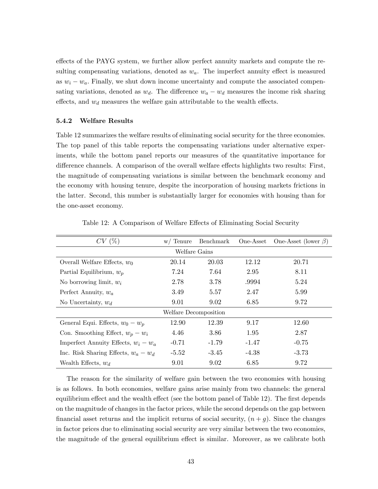effects of the PAYG system, we further allow perfect annuity markets and compute the resulting compensating variations, denoted as  $w_a$ . The imperfect annuity effect is measured as  $w_i - w_a$ . Finally, we shut down income uncertainty and compute the associated compensating variations, denoted as  $w_d$ . The difference  $w_a - w_d$  measures the income risk sharing effects, and  $w_d$  measures the welfare gain attributable to the wealth effects.

#### 5.4.2 Welfare Results

Table 12 summarizes the welfare results of eliminating social security for the three economies. The top panel of this table reports the compensating variations under alternative experiments, while the bottom panel reports our measures of the quantitative importance for difference channels. A comparison of the overall welfare effects highlights two results: First, the magnitude of compensating variations is similar between the benchmark economy and the economy with housing tenure, despite the incorporation of housing markets frictions in the latter. Second, this number is substantially larger for economies with housing than for the one-asset economy.

| CV(%)                                  | w/ Tenure | Benchmark | One-Asset | One-Asset (lower $\beta$ ) |  |
|----------------------------------------|-----------|-----------|-----------|----------------------------|--|
| Welfare Gains                          |           |           |           |                            |  |
| Overall Welfare Effects, $w_0$         | 20.14     | 20.03     | 12.12     | 20.71                      |  |
| Partial Equilibrium, $w_p$             | 7.24      | 7.64      | 2.95      | 8.11                       |  |
| No borrowing limit, $w_i$              | 2.78      | 3.78      | .9994     | 5.24                       |  |
| Perfect Annuity, $w_a$                 | 3.49      | 5.57      | 2.47      | 5.99                       |  |
| No Uncertainty, $w_d$                  | 9.01      | 9.02      | 6.85      | 9.72                       |  |
| Welfare Decomposition                  |           |           |           |                            |  |
| General Equi. Effects, $w_0 - w_p$     | 12.90     | 12.39     | 9.17      | 12.60                      |  |
| Con. Smoothing Effect, $w_p - w_i$     | 4.46      | 3.86      | 1.95      | 2.87                       |  |
| Imperfect Annuity Effects, $w_i - w_a$ | $-0.71$   | $-1.79$   | $-1.47$   | $-0.75$                    |  |
| Inc. Risk Sharing Effects, $w_a - w_d$ | $-5.52$   | $-3.45$   | $-4.38$   | $-3.73$                    |  |
| Wealth Effects, $w_d$                  | 9.01      | 9.02      | 6.85      | 9.72                       |  |

Table 12: A Comparison of Welfare Effects of Eliminating Social Security

The reason for the similarity of welfare gain between the two economies with housing is as follows. In both economies, welfare gains arise mainly from two channels: the general equilibrium effect and the wealth effect (see the bottom panel of Table 12). The first depends on the magnitude of changes in the factor prices, while the second depends on the gap between financial asset returns and the implicit returns of social security,  $(n + g)$ . Since the changes in factor prices due to eliminating social security are very similar between the two economies, the magnitude of the general equilibrium effect is similar. Moreover, as we calibrate both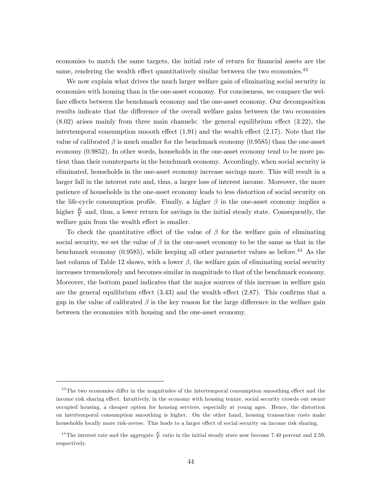economies to match the same targets, the initial rate of return for financial assets are the same, rendering the wealth effect quantitatively similar between the two economies.<sup>43</sup>

We now explain what drives the much larger welfare gain of eliminating social security in economies with housing than in the one-asset economy. For conciseness, we compare the welfare effects between the benchmark economy and the one-asset economy. Our decomposition results indicate that the difference of the overall welfare gains between the two economies  $(8.02)$  arises mainly from three main channels: the general equilibrium effect  $(3.22)$ , the intertemporal consumption smooth effect  $(1.91)$  and the wealth effect  $(2.17)$ . Note that the value of calibrated  $\beta$  is much smaller for the benchmark economy (0.9585) than the one-asset economy (0.9852). In other words, households in the one-asset economy tend to be more patient than their counterparts in the benchmark economy. Accordingly, when social security is eliminated, households in the one-asset economy increase savings more. This will result in a larger fall in the interest rate and, thus, a larger loss of interest income. Moreover, the more patience of households in the one-asset economy leads to less distortion of social security on the life-cycle consumption profile. Finally, a higher  $\beta$  in the one-asset economy implies a higher  $\frac{K}{Y}$  and, thus, a lower return for savings in the initial steady state. Consequently, the welfare gain from the wealth effect is smaller.

To check the quantitative effect of the value of  $\beta$  for the welfare gain of eliminating social security, we set the value of  $\beta$  in the one-asset economy to be the same as that in the benchmark economy  $(0.9585)$ , while keeping all other parameter values as before.<sup>44</sup> As the last column of Table 12 shows, with a lower  $\beta$ , the welfare gain of eliminating social security increases tremendously and becomes similar in magnitude to that of the benchmark economy. Moreover, the bottom panel indicates that the major sources of this increase in welfare gain are the general equilibrium effect  $(3.43)$  and the wealth effect  $(2.87)$ . This confirms that a gap in the value of calibrated  $\beta$  is the key reason for the large difference in the welfare gain between the economies with housing and the one-asset economy.

 $43$ The two economies differ in the magnitudes of the intertemporal consumption smoothing effect and the income risk sharing effect. Intuitively, in the economy with housing tenure, social security crowds out owner occupied housing, a cheaper option for housing services, especially at young ages. Hence, the distortion on intertemporal consumption smoothing is higher. On the other hand, housing transaction costs make households locally more risk-averse. This leads to a larger effect of social security on income risk sharing.

<sup>&</sup>lt;sup>44</sup>The interest rate and the aggregate  $\frac{K}{Y}$  ratio in the initial steady state now become 7.40 percent and 2.59, respectively.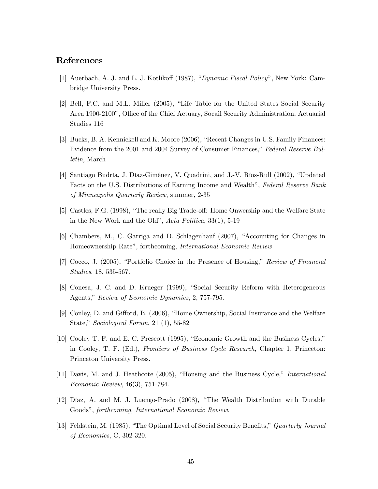# References

- [1] Auerbach, A. J. and L. J. Kotlikoff (1987), "Dynamic Fiscal Policy", New York: Cambridge University Press.
- [2] Bell, F.C. and M.L. Miller (2005), "Life Table for the United States Social Security Area 1900-2100", Office of the Chief Actuary, Socail Security Administration, Actuarial Studies 116
- [3] Bucks, B. A. Kennickell and K. Moore (2006), "Recent Changes in U.S. Family Finances: Evidence from the 2001 and 2004 Survey of Consumer Finances," Federal Reserve Bulletin, March
- [4] Santiago Budría, J. Díaz-Giménez, V. Quadrini, and J.-V. Ríos-Rull (2002), "Updated Facts on the U.S. Distributions of Earning Income and Wealth", Federal Reserve Bank of Minneapolis Quarterly Review, summer, 2-35
- [5] Castles, F.G. (1998), "The really Big Trade-off: Home Onwership and the Welfare State in the New Work and the Old",  $Acta$  Politica,  $33(1)$ ,  $5-19$
- [6] Chambers, M., C. Garriga and D. Schlagenhauf (2007), "Accounting for Changes in Homeownership Rate", forthcoming, *International Economic Review*
- [7] Cocco, J. (2005), "Portfolio Choice in the Presence of Housing," Review of Financial Studies, 18, 535-567.
- [8] Conesa, J. C. and D. Krueger (1999), "Social Security Reform with Heterogeneous Agents," Review of Economic Dynamics, 2, 757-795.
- [9] Conley, D. and Gifford, B. (2006), "Home Ownership, Social Insurance and the Welfare State," Sociological Forum,  $21$  (1),  $55-82$
- $[10]$  Cooley T. F. and E. C. Prescott  $(1995)$ , "Economic Growth and the Business Cycles," in Cooley, T. F. (Ed.), Frontiers of Business Cycle Research, Chapter 1, Princeton: Princeton University Press.
- [11] Davis, M. and J. Heathcote (2005), "Housing and the Business Cycle," *International* Economic Review, 46(3), 751-784.
- [12] Díaz, A. and M. J. Luengo-Prado (2008), "The Wealth Distribution with Durable Goodsî, forthcoming, International Economic Review.
- [13] Feldstein, M. (1985), "The Optimal Level of Social Security Benefits," Quarterly Journal of Economics, C, 302-320.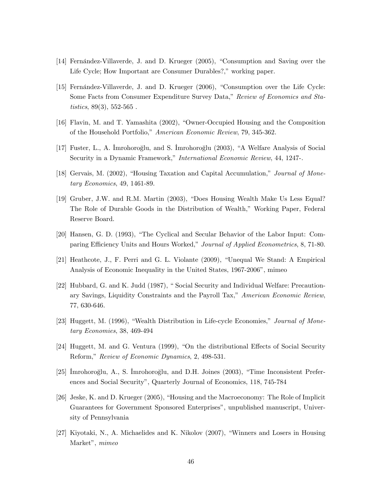- [14] Fernandez-Villaverde, J. and D. Krueger  $(2005)$ , "Consumption and Saving over the Life Cycle; How Important are Consumer Durables?," working paper.
- [15] Fernández-Villaverde, J. and D. Krueger (2006), "Consumption over the Life Cycle: Some Facts from Consumer Expenditure Survey Data," Review of Economics and Statistics,  $89(3)$ ,  $552-565$ .
- [16] Flavin, M. and T. Yamashita (2002), "Owner-Occupied Housing and the Composition of the Household Portfolio," American Economic Review, 79, 345-362.
- [17] Fuster, L., A. Imrohoroğlu, and S. Imrohoroğlu (2003), "A Welfare Analysis of Social Security in a Dynamic Framework," *International Economic Review*, 44, 1247-.
- [18] Gervais, M. (2002), "Housing Taxation and Capital Accumulation," Journal of Monetary Economics, 49, 1461-89.
- [19] Gruber, J.W. and R.M. Martin (2003), "Does Housing Wealth Make Us Less Equal? The Role of Durable Goods in the Distribution of Wealth," Working Paper, Federal Reserve Board.
- [20] Hansen, G. D. (1993), "The Cyclical and Secular Behavior of the Labor Input: Comparing Efficiency Units and Hours Worked," Journal of Applied Econometrics, 8, 71-80.
- $[21]$  Heathcote, J., F. Perri and G. L. Violante  $(2009)$ , "Unequal We Stand: A Empirical Analysis of Economic Inequality in the United States, 1967-2006<sup>*n*</sup>, mimeo
- [22] Hubbard, G. and K. Judd (1987), "Social Security and Individual Welfare: Precautionary Savings, Liquidity Constraints and the Payroll Tax," American Economic Review, 77, 630-646.
- [23] Huggett, M. (1996), "Wealth Distribution in Life-cycle Economies," Journal of Monetary Economies, 38, 469-494
- [24] Huggett, M. and G. Ventura  $(1999)$ , "On the distributional Effects of Social Security Reform," Review of Economic Dynamics, 2, 498-531.
- [25] Imrohoroğlu, A., S. Imrohoroğlu, and D.H. Joines (2003), "Time Inconsistent Preferences and Social Securityî, Quarterly Journal of Economics, 118, 745-784
- [26] Jeske, K. and D. Krueger (2005), "Housing and the Macroeconomy: The Role of Implicit Guarantees for Government Sponsored Enterprises", unpublished manuscript, University of Pennsylvania
- [27] Kiyotaki, N., A. Michaelides and K. Nikolov  $(2007)$ , "Winners and Losers in Housing Market", mimeo